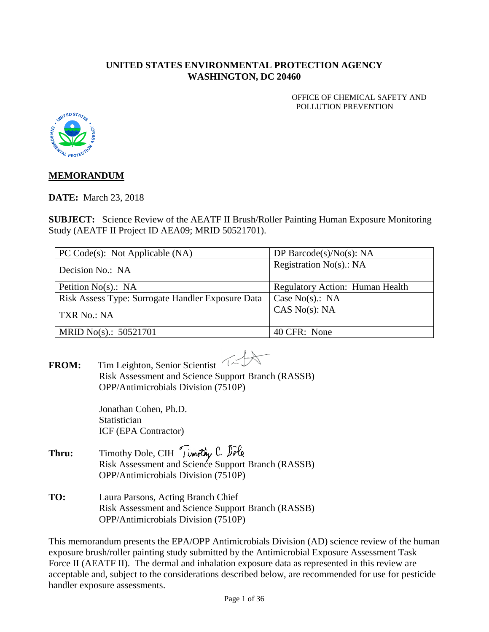#### **UNITED STATES ENVIRONMENTAL PROTECTION AGENCY WASHINGTON, DC 20460**

OFFICE OF CHEMICAL SAFETY AND POLLUTION PREVENTION



# **MEMORANDUM**

**DATE:** March 23, 2018

**SUBJECT:** Science Review of the AEATF II Brush/Roller Painting Human Exposure Monitoring Study (AEATF II Project ID AEA09; MRID 50521701).

| PC $Code(s)$ : Not Applicable (NA)                | DP Barcode(s)/ $No(s)$ : NA            |
|---------------------------------------------------|----------------------------------------|
| Decision No.: NA                                  | Registration $No(s)$ .: NA             |
| Petition $No(s)$ .: NA                            | <b>Regulatory Action: Human Health</b> |
| Risk Assess Type: Surrogate Handler Exposure Data | Case No(s).: NA                        |
| TXR No.: NA                                       | CAS No(s): NA                          |
| MRID No(s).: $50521701$                           | 40 CFR: None                           |

**FROM:** Tim Leighton, Senior Scientist Risk Assessment and Science Support Branch (RASSB) OPP/Antimicrobials Division (7510P)

> Jonathan Cohen, Ph.D. **Statistician** ICF (EPA Contractor)

- Thru: Timothy Dole, CIH Timothy C. Dole Risk Assessment and Science Support Branch (RASSB) OPP/Antimicrobials Division (7510P)
- **TO:** Laura Parsons, Acting Branch Chief Risk Assessment and Science Support Branch (RASSB) OPP/Antimicrobials Division (7510P)

This memorandum presents the EPA/OPP Antimicrobials Division (AD) science review of the human exposure brush/roller painting study submitted by the Antimicrobial Exposure Assessment Task Force II (AEATF II). The dermal and inhalation exposure data as represented in this review are acceptable and, subject to the considerations described below, are recommended for use for pesticide handler exposure assessments.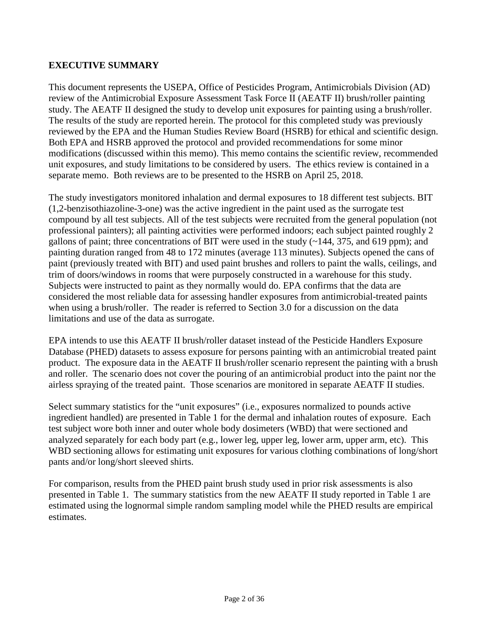### **EXECUTIVE SUMMARY**

This document represents the USEPA, Office of Pesticides Program, Antimicrobials Division (AD) review of the Antimicrobial Exposure Assessment Task Force II (AEATF II) brush/roller painting study. The AEATF II designed the study to develop unit exposures for painting using a brush/roller. The results of the study are reported herein. The protocol for this completed study was previously reviewed by the EPA and the Human Studies Review Board (HSRB) for ethical and scientific design. Both EPA and HSRB approved the protocol and provided recommendations for some minor modifications (discussed within this memo). This memo contains the scientific review, recommended unit exposures, and study limitations to be considered by users. The ethics review is contained in a separate memo. Both reviews are to be presented to the HSRB on April 25, 2018.

The study investigators monitored inhalation and dermal exposures to 18 different test subjects. BIT (1,2-benzisothiazoline-3-one) was the active ingredient in the paint used as the surrogate test compound by all test subjects. All of the test subjects were recruited from the general population (not professional painters); all painting activities were performed indoors; each subject painted roughly 2 gallons of paint; three concentrations of BIT were used in the study  $(\sim 144, 375, \text{ and } 619 \text{ ppm})$ ; and painting duration ranged from 48 to 172 minutes (average 113 minutes). Subjects opened the cans of paint (previously treated with BIT) and used paint brushes and rollers to paint the walls, ceilings, and trim of doors/windows in rooms that were purposely constructed in a warehouse for this study. Subjects were instructed to paint as they normally would do. EPA confirms that the data are considered the most reliable data for assessing handler exposures from antimicrobial-treated paints when using a brush/roller. The reader is referred to Section 3.0 for a discussion on the data limitations and use of the data as surrogate.

EPA intends to use this AEATF II brush/roller dataset instead of the Pesticide Handlers Exposure Database (PHED) datasets to assess exposure for persons painting with an antimicrobial treated paint product. The exposure data in the AEATF II brush/roller scenario represent the painting with a brush and roller. The scenario does not cover the pouring of an antimicrobial product into the paint nor the airless spraying of the treated paint. Those scenarios are monitored in separate AEATF II studies.

Select summary statistics for the "unit exposures" (i.e., exposures normalized to pounds active ingredient handled) are presented in Table 1 for the dermal and inhalation routes of exposure. Each test subject wore both inner and outer whole body dosimeters (WBD) that were sectioned and analyzed separately for each body part (e.g., lower leg, upper leg, lower arm, upper arm, etc). This WBD sectioning allows for estimating unit exposures for various clothing combinations of long/short pants and/or long/short sleeved shirts.

For comparison, results from the PHED paint brush study used in prior risk assessments is also presented in Table 1. The summary statistics from the new AEATF II study reported in Table 1 are estimated using the lognormal simple random sampling model while the PHED results are empirical estimates.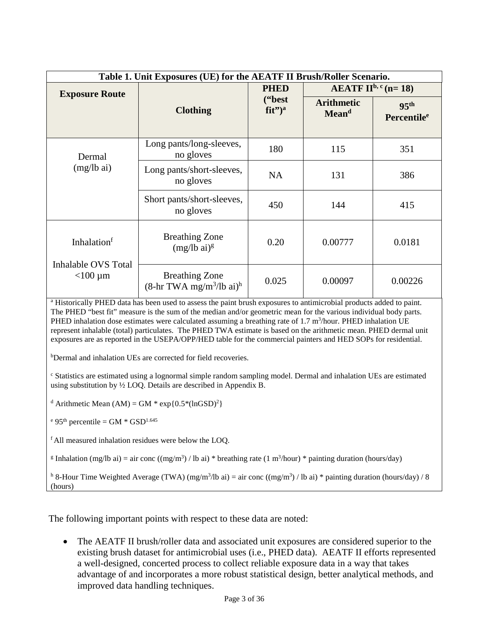|                                                | Table 1. Unit Exposures (UE) for the AEATF II Brush/Roller Scenario.        |                                 |                                        |                                             |  |  |
|------------------------------------------------|-----------------------------------------------------------------------------|---------------------------------|----------------------------------------|---------------------------------------------|--|--|
| <b>Exposure Route</b>                          |                                                                             | <b>PHED</b>                     | AEATF II <sup>b, c</sup> (n= 18)       |                                             |  |  |
|                                                | <b>Clothing</b>                                                             | ("best<br>$fit2$ ) <sup>a</sup> | <b>Arithmetic</b><br>Mean <sup>d</sup> | 95 <sup>th</sup><br>Percentile <sup>e</sup> |  |  |
| Dermal                                         | Long pants/long-sleeves,<br>no gloves                                       | 180                             | 115                                    | 351                                         |  |  |
| (mg/lb ai)                                     | Long pants/short-sleeves,<br>no gloves                                      | <b>NA</b>                       | 131                                    | 386                                         |  |  |
|                                                | Short pants/short-sleeves,<br>no gloves                                     | 450                             | 144                                    | 415                                         |  |  |
| Inhalation <sup>f</sup><br>Inhalable OVS Total | <b>Breathing Zone</b><br>$(mg/lb \text{ ai})^g$                             | 0.20                            | 0.00777                                | 0.0181                                      |  |  |
| $<$ 100 µm                                     | <b>Breathing Zone</b><br>$(8-hr$ TWA mg/m <sup>3</sup> /lb ai) <sup>h</sup> | 0.025                           | 0.00097                                | 0.00226                                     |  |  |

<sup>a</sup> Historically PHED data has been used to assess the paint brush exposures to antimicrobial products added to paint. The PHED "best fit" measure is the sum of the median and/or geometric mean for the various individual body parts. PHED inhalation dose estimates were calculated assuming a breathing rate of  $1.7 \text{ m}^3$ /hour. PHED inhalation UE represent inhalable (total) particulates. The PHED TWA estimate is based on the arithmetic mean. PHED dermal unit exposures are as reported in the USEPA/OPP/HED table for the commercial painters and HED SOPs for residential.

b Dermal and inhalation UEs are corrected for field recoveries.

<sup>c</sup> Statistics are estimated using a lognormal simple random sampling model. Dermal and inhalation UEs are estimated using substitution by ½ LOQ. Details are described in Appendix B.

<sup>d</sup> Arithmetic Mean  $(AM) = GM * exp{0.5*(lnGSD)^2}$ 

 $e$  95<sup>th</sup> percentile = GM  $*$  GSD<sup>1.645</sup>

f All measured inhalation residues were below the LOQ.

<sup>g</sup> Inhalation (mg/lb ai) = air conc ((mg/m<sup>3</sup>) / lb ai) \* breathing rate (1 m<sup>3</sup>/hour) \* painting duration (hours/day)

<sup>h</sup> 8-Hour Time Weighted Average (TWA) (mg/m<sup>3</sup>/lb ai) = air conc ((mg/m<sup>3</sup>) / lb ai) \* painting duration (hours/day) / 8 (hours)

The following important points with respect to these data are noted:

• The AEATF II brush/roller data and associated unit exposures are considered superior to the existing brush dataset for antimicrobial uses (i.e., PHED data). AEATF II efforts represented a well-designed, concerted process to collect reliable exposure data in a way that takes advantage of and incorporates a more robust statistical design, better analytical methods, and improved data handling techniques.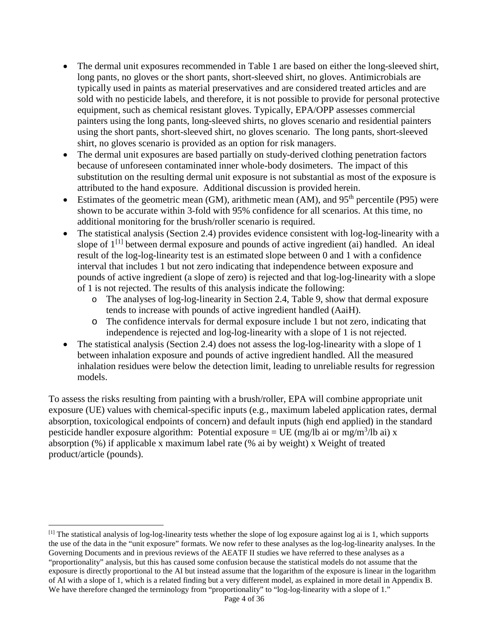- The dermal unit exposures recommended in Table 1 are based on either the long-sleeved shirt, long pants, no gloves or the short pants, short-sleeved shirt, no gloves. Antimicrobials are typically used in paints as material preservatives and are considered treated articles and are sold with no pesticide labels, and therefore, it is not possible to provide for personal protective equipment, such as chemical resistant gloves. Typically, EPA/OPP assesses commercial painters using the long pants, long-sleeved shirts, no gloves scenario and residential painters using the short pants, short-sleeved shirt, no gloves scenario. The long pants, short-sleeved shirt, no gloves scenario is provided as an option for risk managers.
- The dermal unit exposures are based partially on study-derived clothing penetration factors because of unforeseen contaminated inner whole-body dosimeters. The impact of this substitution on the resulting dermal unit exposure is not substantial as most of the exposure is attributed to the hand exposure. Additional discussion is provided herein.
- Estimates of the geometric mean (GM), arithmetic mean (AM), and  $95<sup>th</sup>$  percentile (P95) were shown to be accurate within 3-fold with 95% confidence for all scenarios. At this time, no additional monitoring for the brush/roller scenario is required.
- The statistical analysis (Section 2.4) provides evidence consistent with log-log-linearity with a slope of  $1^{[1]}$  $1^{[1]}$  $1^{[1]}$  between dermal exposure and pounds of active ingredient (ai) handled. An ideal result of the log-log-linearity test is an estimated slope between 0 and 1 with a confidence interval that includes 1 but not zero indicating that independence between exposure and pounds of active ingredient (a slope of zero) is rejected and that log-log-linearity with a slope of 1 is not rejected. The results of this analysis indicate the following:
	- o The analyses of log-log-linearity in Section 2.4, Table 9, show that dermal exposure tends to increase with pounds of active ingredient handled (AaiH).
	- o The confidence intervals for dermal exposure include 1 but not zero, indicating that independence is rejected and log-log-linearity with a slope of 1 is not rejected.
- The statistical analysis (Section 2.4) does not assess the log-log-linearity with a slope of 1 between inhalation exposure and pounds of active ingredient handled. All the measured inhalation residues were below the detection limit, leading to unreliable results for regression models.

To assess the risks resulting from painting with a brush/roller, EPA will combine appropriate unit exposure (UE) values with chemical-specific inputs (e.g., maximum labeled application rates, dermal absorption, toxicological endpoints of concern) and default inputs (high end applied) in the standard pesticide handler exposure algorithm: Potential exposure =  $UE$  (mg/lb ai or mg/m<sup>3</sup>/lb ai) x absorption (%) if applicable x maximum label rate (% ai by weight) x Weight of treated product/article (pounds).

<span id="page-3-0"></span> <sup>[1]</sup> The statistical analysis of log-log-linearity tests whether the slope of log exposure against log ai is 1, which supports the use of the data in the "unit exposure" formats. We now refer to these analyses as the log-log-linearity analyses. In the Governing Documents and in previous reviews of the AEATF II studies we have referred to these analyses as a "proportionality" analysis, but this has caused some confusion because the statistical models do not assume that the exposure is directly proportional to the AI but instead assume that the logarithm of the exposure is linear in the logarithm of AI with a slope of 1, which is a related finding but a very different model, as explained in more detail in Appendix B. We have therefore changed the terminology from "proportionality" to "log-log-linearity with a slope of 1."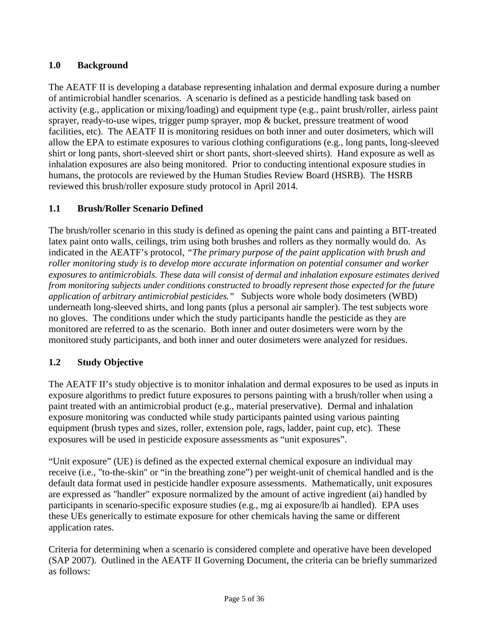## **1.0 Background**

The AEATF II is developing a database representing inhalation and dermal exposure during a number of antimicrobial handler scenarios. A scenario is defined as a pesticide handling task based on activity (e.g., application or mixing/loading) and equipment type (e.g., paint brush/roller, airless paint sprayer, ready-to-use wipes, trigger pump sprayer, mop & bucket, pressure treatment of wood facilities, etc). The AEATF II is monitoring residues on both inner and outer dosimeters, which will allow the EPA to estimate exposures to various clothing configurations (e.g., long pants, long-sleeved shirt or long pants, short-sleeved shirt or short pants, short-sleeved shirts). Hand exposure as well as inhalation exposures are also being monitored. Prior to conducting intentional exposure studies in humans, the protocols are reviewed by the Human Studies Review Board (HSRB). The HSRB reviewed this brush/roller exposure study protocol in April 2014.

## **1.1 Brush/Roller Scenario Defined**

The brush/roller scenario in this study is defined as opening the paint cans and painting a BIT-treated latex paint onto walls, ceilings, trim using both brushes and rollers as they normally would do. As indicated in the AEATF's protocol, *"The primary purpose of the paint application with brush and roller monitoring study is to develop more accurate information on potential consumer and worker exposures to antimicrobials. These data will consist of dermal and inhalation exposure estimates derived from monitoring subjects under conditions constructed to broadly represent those expected for the future application of arbitrary antimicrobial pesticides."* Subjects wore whole body dosimeters (WBD) underneath long-sleeved shirts, and long pants (plus a personal air sampler). The test subjects wore no gloves. The conditions under which the study participants handle the pesticide as they are monitored are referred to as the scenario. Both inner and outer dosimeters were worn by the monitored study participants, and both inner and outer dosimeters were analyzed for residues.

## **1.2 Study Objective**

The AEATF II's study objective is to monitor inhalation and dermal exposures to be used as inputs in exposure algorithms to predict future exposures to persons painting with a brush/roller when using a paint treated with an antimicrobial product (e.g., material preservative). Dermal and inhalation exposure monitoring was conducted while study participants painted using various painting equipment (brush types and sizes, roller, extension pole, rags, ladder, paint cup, etc). These exposures will be used in pesticide exposure assessments as "unit exposures".

"Unit exposure" (UE) is defined as the expected external chemical exposure an individual may receive (i.e., "to-the-skin" or "in the breathing zone") per weight-unit of chemical handled and is the default data format used in pesticide handler exposure assessments. Mathematically, unit exposures are expressed as "handler" exposure normalized by the amount of active ingredient (ai) handled by participants in scenario-specific exposure studies (e.g., mg ai exposure/lb ai handled). EPA uses these UEs generically to estimate exposure for other chemicals having the same or different application rates.

Criteria for determining when a scenario is considered complete and operative have been developed (SAP 2007). Outlined in the AEATF II Governing Document, the criteria can be briefly summarized as follows: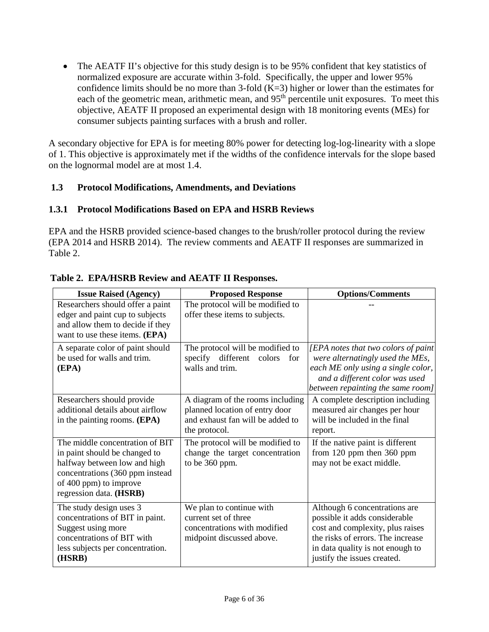• The AEATF II's objective for this study design is to be 95% confident that key statistics of normalized exposure are accurate within 3-fold. Specifically, the upper and lower 95% confidence limits should be no more than 3-fold  $(K=3)$  higher or lower than the estimates for each of the geometric mean, arithmetic mean, and 95<sup>th</sup> percentile unit exposures. To meet this objective, AEATF II proposed an experimental design with 18 monitoring events (MEs) for consumer subjects painting surfaces with a brush and roller.

A secondary objective for EPA is for meeting 80% power for detecting log-log-linearity with a slope of 1. This objective is approximately met if the widths of the confidence intervals for the slope based on the lognormal model are at most 1.4.

#### **1.3 Protocol Modifications, Amendments, and Deviations**

### **1.3.1 Protocol Modifications Based on EPA and HSRB Reviews**

EPA and the HSRB provided science-based changes to the brush/roller protocol during the review (EPA 2014 and HSRB 2014). The review comments and AEATF II responses are summarized in Table 2.

| <b>Issue Raised (Agency)</b>                                                                                                                                                             | <b>Proposed Response</b>                                                                                                | <b>Options/Comments</b>                                                                                                                                                                                    |
|------------------------------------------------------------------------------------------------------------------------------------------------------------------------------------------|-------------------------------------------------------------------------------------------------------------------------|------------------------------------------------------------------------------------------------------------------------------------------------------------------------------------------------------------|
| Researchers should offer a paint<br>edger and paint cup to subjects<br>and allow them to decide if they<br>want to use these items. (EPA)                                                | The protocol will be modified to<br>offer these items to subjects.                                                      |                                                                                                                                                                                                            |
| A separate color of paint should<br>be used for walls and trim.<br>(EPA)                                                                                                                 | The protocol will be modified to<br>specify different<br>colors<br>for<br>walls and trim.                               | [EPA notes that two colors of paint]<br>were alternatingly used the MEs,<br>each ME only using a single color,<br>and a different color was used<br>between repainting the same room]                      |
| Researchers should provide<br>additional details about airflow<br>in the painting rooms. (EPA)                                                                                           | A diagram of the rooms including<br>planned location of entry door<br>and exhaust fan will be added to<br>the protocol. | A complete description including<br>measured air changes per hour<br>will be included in the final<br>report.                                                                                              |
| The middle concentration of BIT<br>in paint should be changed to<br>halfway between low and high<br>concentrations (360 ppm instead<br>of 400 ppm) to improve<br>regression data. (HSRB) | The protocol will be modified to<br>change the target concentration<br>to be 360 ppm.                                   | If the native paint is different<br>from 120 ppm then 360 ppm<br>may not be exact middle.                                                                                                                  |
| The study design uses 3<br>concentrations of BIT in paint.<br>Suggest using more<br>concentrations of BIT with<br>less subjects per concentration.<br>(HSRB)                             | We plan to continue with<br>current set of three<br>concentrations with modified<br>midpoint discussed above.           | Although 6 concentrations are<br>possible it adds considerable<br>cost and complexity, plus raises<br>the risks of errors. The increase<br>in data quality is not enough to<br>justify the issues created. |

### **Table 2. EPA/HSRB Review and AEATF II Responses.**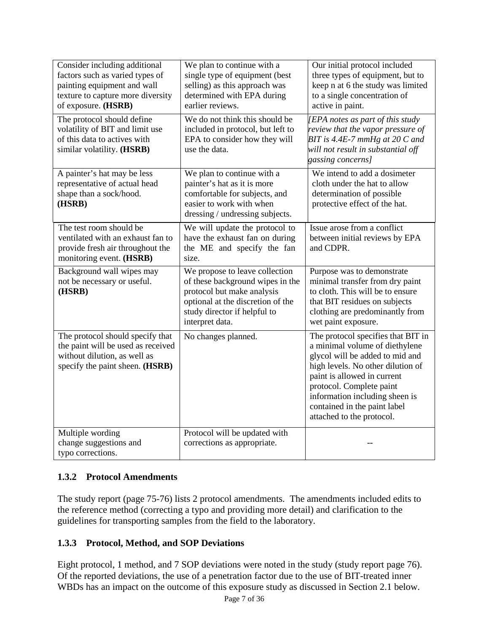| Consider including additional<br>factors such as varied types of<br>painting equipment and wall<br>texture to capture more diversity<br>of exposure. (HSRB) | We plan to continue with a<br>single type of equipment (best<br>selling) as this approach was<br>determined with EPA during<br>earlier reviews.                                          | Our initial protocol included<br>three types of equipment, but to<br>keep n at 6 the study was limited<br>to a single concentration of<br>active in paint.                                                                                                                                             |
|-------------------------------------------------------------------------------------------------------------------------------------------------------------|------------------------------------------------------------------------------------------------------------------------------------------------------------------------------------------|--------------------------------------------------------------------------------------------------------------------------------------------------------------------------------------------------------------------------------------------------------------------------------------------------------|
| The protocol should define<br>volatility of BIT and limit use<br>of this data to actives with<br>similar volatility. (HSRB)                                 | We do not think this should be<br>included in protocol, but left to<br>EPA to consider how they will<br>use the data.                                                                    | [EPA notes as part of this study<br>review that the vapor pressure of<br>BIT is 4.4E-7 mmHg at 20 C and<br>will not result in substantial off<br>gassing concerns]                                                                                                                                     |
| A painter's hat may be less<br>representative of actual head<br>shape than a sock/hood.<br>(HSRB)                                                           | We plan to continue with a<br>painter's hat as it is more<br>comfortable for subjects, and<br>easier to work with when<br>dressing / undressing subjects.                                | We intend to add a dosimeter<br>cloth under the hat to allow<br>determination of possible<br>protective effect of the hat.                                                                                                                                                                             |
| The test room should be<br>ventilated with an exhaust fan to<br>provide fresh air throughout the<br>monitoring event. (HSRB)                                | We will update the protocol to<br>have the exhaust fan on during<br>the ME and specify the fan<br>size.                                                                                  | Issue arose from a conflict<br>between initial reviews by EPA<br>and CDPR.                                                                                                                                                                                                                             |
| Background wall wipes may<br>not be necessary or useful.<br>(HSRB)                                                                                          | We propose to leave collection<br>of these background wipes in the<br>protocol but make analysis<br>optional at the discretion of the<br>study director if helpful to<br>interpret data. | Purpose was to demonstrate<br>minimal transfer from dry paint<br>to cloth. This will be to ensure<br>that BIT residues on subjects<br>clothing are predominantly from<br>wet paint exposure.                                                                                                           |
| The protocol should specify that<br>the paint will be used as received<br>without dilution, as well as<br>specify the paint sheen. (HSRB)                   | No changes planned.                                                                                                                                                                      | The protocol specifies that BIT in<br>a minimal volume of diethylene<br>glycol will be added to mid and<br>high levels. No other dilution of<br>paint is allowed in current<br>protocol. Complete paint<br>information including sheen is<br>contained in the paint label<br>attached to the protocol. |
| Multiple wording<br>change suggestions and<br>typo corrections.                                                                                             | Protocol will be updated with<br>corrections as appropriate.                                                                                                                             |                                                                                                                                                                                                                                                                                                        |

## **1.3.2 Protocol Amendments**

The study report (page 75-76) lists 2 protocol amendments. The amendments included edits to the reference method (correcting a typo and providing more detail) and clarification to the guidelines for transporting samples from the field to the laboratory.

#### **1.3.3 Protocol, Method, and SOP Deviations**

Eight protocol, 1 method, and 7 SOP deviations were noted in the study (study report page 76). Of the reported deviations, the use of a penetration factor due to the use of BIT-treated inner WBDs has an impact on the outcome of this exposure study as discussed in Section 2.1 below.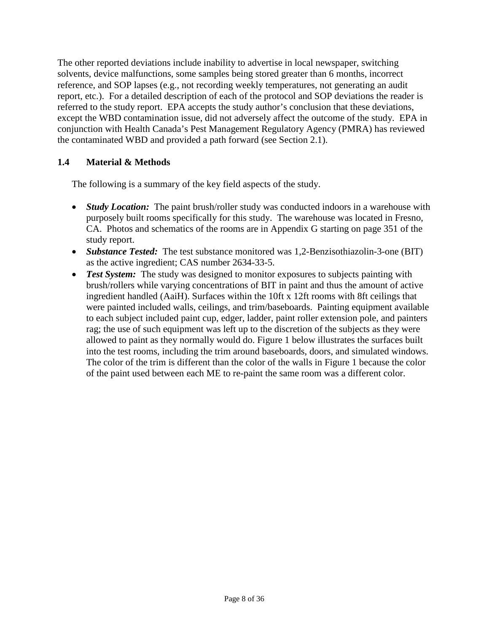The other reported deviations include inability to advertise in local newspaper, switching solvents, device malfunctions, some samples being stored greater than 6 months, incorrect reference, and SOP lapses (e.g., not recording weekly temperatures, not generating an audit report, etc.). For a detailed description of each of the protocol and SOP deviations the reader is referred to the study report. EPA accepts the study author's conclusion that these deviations, except the WBD contamination issue, did not adversely affect the outcome of the study. EPA in conjunction with Health Canada's Pest Management Regulatory Agency (PMRA) has reviewed the contaminated WBD and provided a path forward (see Section 2.1).

### **1.4 Material & Methods**

The following is a summary of the key field aspects of the study.

- *Study Location:* The paint brush/roller study was conducted indoors in a warehouse with purposely built rooms specifically for this study. The warehouse was located in Fresno, CA. Photos and schematics of the rooms are in Appendix G starting on page 351 of the study report.
- *Substance Tested:* The test substance monitored was 1,2-Benzisothiazolin-3-one (BIT) as the active ingredient; CAS number 2634-33-5.
- *Test System:* The study was designed to monitor exposures to subjects painting with brush/rollers while varying concentrations of BIT in paint and thus the amount of active ingredient handled (AaiH). Surfaces within the 10ft x 12ft rooms with 8ft ceilings that were painted included walls, ceilings, and trim/baseboards. Painting equipment available to each subject included paint cup, edger, ladder, paint roller extension pole, and painters rag; the use of such equipment was left up to the discretion of the subjects as they were allowed to paint as they normally would do. Figure 1 below illustrates the surfaces built into the test rooms, including the trim around baseboards, doors, and simulated windows. The color of the trim is different than the color of the walls in Figure 1 because the color of the paint used between each ME to re-paint the same room was a different color.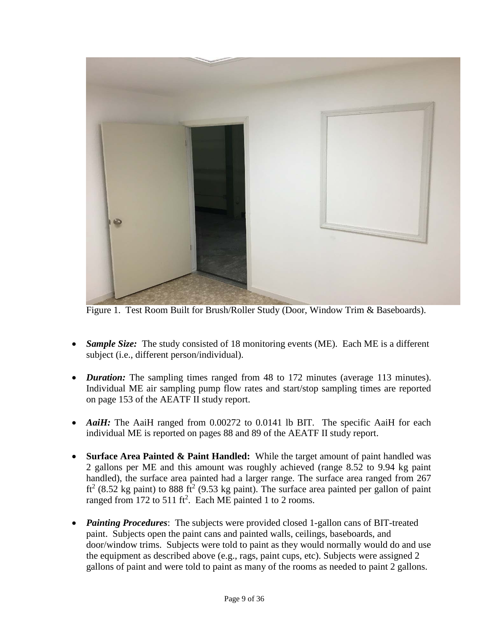

Figure 1. Test Room Built for Brush/Roller Study (Door, Window Trim & Baseboards).

- *Sample Size:* The study consisted of 18 monitoring events (ME). Each ME is a different subject (i.e., different person/individual).
- *Duration:* The sampling times ranged from 48 to 172 minutes (average 113 minutes). Individual ME air sampling pump flow rates and start/stop sampling times are reported on page 153 of the AEATF II study report.
- *AaiH:* The AaiH ranged from 0.00272 to 0.0141 lb BIT. The specific AaiH for each individual ME is reported on pages 88 and 89 of the AEATF II study report.
- **Surface Area Painted & Paint Handled:** While the target amount of paint handled was 2 gallons per ME and this amount was roughly achieved (range 8.52 to 9.94 kg paint handled), the surface area painted had a larger range. The surface area ranged from 267 ft<sup>2</sup> (8.52 kg paint) to 888 ft<sup>2</sup> (9.53 kg paint). The surface area painted per gallon of paint ranged from 172 to 511 ft<sup>2</sup>. Each ME painted 1 to 2 rooms.
- *Painting Procedures*: The subjects were provided closed 1-gallon cans of BIT-treated paint. Subjects open the paint cans and painted walls, ceilings, baseboards, and door/window trims. Subjects were told to paint as they would normally would do and use the equipment as described above (e.g., rags, paint cups, etc). Subjects were assigned 2 gallons of paint and were told to paint as many of the rooms as needed to paint 2 gallons.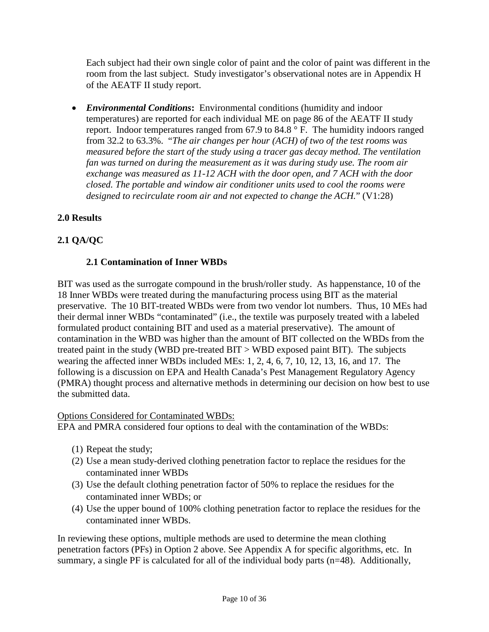Each subject had their own single color of paint and the color of paint was different in the room from the last subject. Study investigator's observational notes are in Appendix H of the AEATF II study report.

• *Environmental Conditions***:** Environmental conditions (humidity and indoor temperatures) are reported for each individual ME on page 86 of the AEATF II study report. Indoor temperatures ranged from 67.9 to 84.8 ° F. The humidity indoors ranged from 32.2 to 63.3%. "*The air changes per hour (ACH) of two of the test rooms was measured before the start of the study using a tracer gas decay method. The ventilation fan was turned on during the measurement as it was during study use. The room air exchange was measured as 11-12 ACH with the door open, and 7 ACH with the door closed. The portable and window air conditioner units used to cool the rooms were designed to recirculate room air and not expected to change the ACH.*" (V1:28)

## **2.0 Results**

## **2.1 QA/QC**

#### **2.1 Contamination of Inner WBDs**

BIT was used as the surrogate compound in the brush/roller study. As happenstance, 10 of the 18 Inner WBDs were treated during the manufacturing process using BIT as the material preservative. The 10 BIT-treated WBDs were from two vendor lot numbers. Thus, 10 MEs had their dermal inner WBDs "contaminated" (i.e., the textile was purposely treated with a labeled formulated product containing BIT and used as a material preservative). The amount of contamination in the WBD was higher than the amount of BIT collected on the WBDs from the treated paint in the study (WBD pre-treated BIT > WBD exposed paint BIT). The subjects wearing the affected inner WBDs included MEs: 1, 2, 4, 6, 7, 10, 12, 13, 16, and 17. The following is a discussion on EPA and Health Canada's Pest Management Regulatory Agency (PMRA) thought process and alternative methods in determining our decision on how best to use the submitted data.

#### Options Considered for Contaminated WBDs:

EPA and PMRA considered four options to deal with the contamination of the WBDs:

- (1) Repeat the study;
- (2) Use a mean study-derived clothing penetration factor to replace the residues for the contaminated inner WBDs
- (3) Use the default clothing penetration factor of 50% to replace the residues for the contaminated inner WBDs; or
- (4) Use the upper bound of 100% clothing penetration factor to replace the residues for the contaminated inner WBDs.

In reviewing these options, multiple methods are used to determine the mean clothing penetration factors (PFs) in Option 2 above. See Appendix A for specific algorithms, etc. In summary, a single PF is calculated for all of the individual body parts (n=48). Additionally,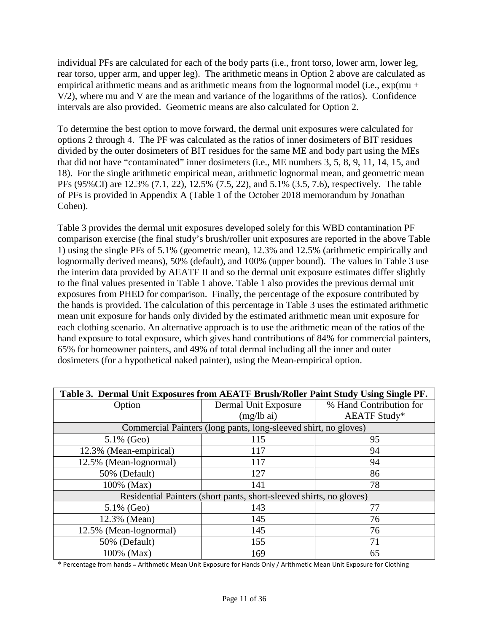individual PFs are calculated for each of the body parts (i.e., front torso, lower arm, lower leg, rear torso, upper arm, and upper leg). The arithmetic means in Option 2 above are calculated as empirical arithmetic means and as arithmetic means from the lognormal model (i.e.,  $exp(mu +$ V/2), where mu and V are the mean and variance of the logarithms of the ratios). Confidence intervals are also provided. Geometric means are also calculated for Option 2.

To determine the best option to move forward, the dermal unit exposures were calculated for options 2 through 4. The PF was calculated as the ratios of inner dosimeters of BIT residues divided by the outer dosimeters of BIT residues for the same ME and body part using the MEs that did not have "contaminated" inner dosimeters (i.e., ME numbers 3, 5, 8, 9, 11, 14, 15, and 18). For the single arithmetic empirical mean, arithmetic lognormal mean, and geometric mean PFs (95%CI) are 12.3% (7.1, 22), 12.5% (7.5, 22), and 5.1% (3.5, 7.6), respectively. The table of PFs is provided in Appendix A (Table 1 of the October 2018 memorandum by Jonathan Cohen).

Table 3 provides the dermal unit exposures developed solely for this WBD contamination PF comparison exercise (the final study's brush/roller unit exposures are reported in the above Table 1) using the single PFs of 5.1% (geometric mean), 12.3% and 12.5% (arithmetic empirically and lognormally derived means), 50% (default), and 100% (upper bound). The values in Table 3 use the interim data provided by AEATF II and so the dermal unit exposure estimates differ slightly to the final values presented in Table 1 above. Table 1 also provides the previous dermal unit exposures from PHED for comparison. Finally, the percentage of the exposure contributed by the hands is provided. The calculation of this percentage in Table 3 uses the estimated arithmetic mean unit exposure for hands only divided by the estimated arithmetic mean unit exposure for each clothing scenario. An alternative approach is to use the arithmetic mean of the ratios of the hand exposure to total exposure, which gives hand contributions of 84% for commercial painters, 65% for homeowner painters, and 49% of total dermal including all the inner and outer dosimeters (for a hypothetical naked painter), using the Mean-empirical option.

| Table 3. Dermal Unit Exposures from AEATF Brush/Roller Paint Study Using Single PF. |                                                                     |                         |  |  |  |
|-------------------------------------------------------------------------------------|---------------------------------------------------------------------|-------------------------|--|--|--|
| Option                                                                              | Dermal Unit Exposure                                                | % Hand Contribution for |  |  |  |
|                                                                                     | $(mg/lb \text{ ai})$                                                | <b>AEATF Study*</b>     |  |  |  |
|                                                                                     | Commercial Painters (long pants, long-sleeved shirt, no gloves)     |                         |  |  |  |
| $5.1\%$ (Geo)                                                                       | 115                                                                 | 95                      |  |  |  |
| 12.3% (Mean-empirical)                                                              | 117                                                                 | 94                      |  |  |  |
| 12.5% (Mean-lognormal)                                                              | 117                                                                 | 94                      |  |  |  |
| 50% (Default)                                                                       | 127                                                                 | 86                      |  |  |  |
| 100% (Max)                                                                          | 141                                                                 | 78                      |  |  |  |
|                                                                                     | Residential Painters (short pants, short-sleeved shirts, no gloves) |                         |  |  |  |
| $5.1\%$ (Geo)                                                                       | 143                                                                 | 77                      |  |  |  |
| 12.3% (Mean)                                                                        | 145                                                                 | 76                      |  |  |  |
| 12.5% (Mean-lognormal)                                                              | 145                                                                 | 76                      |  |  |  |
| 50% (Default)                                                                       | 155                                                                 | 71                      |  |  |  |
| 100% (Max)                                                                          | 169                                                                 | 65                      |  |  |  |

\* Percentage from hands = Arithmetic Mean Unit Exposure for Hands Only / Arithmetic Mean Unit Exposure for Clothing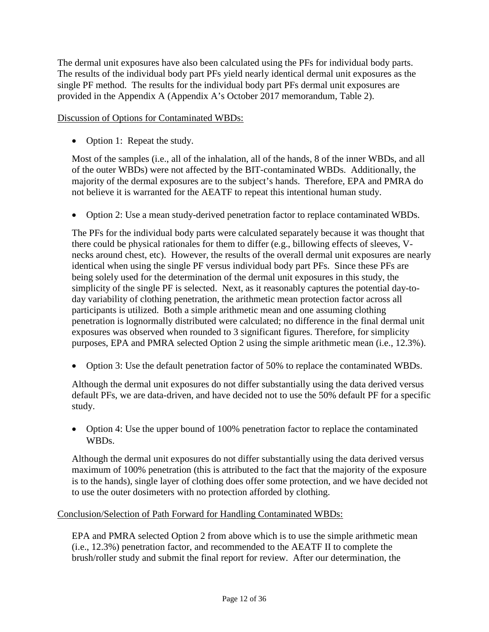The dermal unit exposures have also been calculated using the PFs for individual body parts. The results of the individual body part PFs yield nearly identical dermal unit exposures as the single PF method. The results for the individual body part PFs dermal unit exposures are provided in the Appendix A (Appendix A's October 2017 memorandum, Table 2).

Discussion of Options for Contaminated WBDs:

• Option 1: Repeat the study.

Most of the samples (i.e., all of the inhalation, all of the hands, 8 of the inner WBDs, and all of the outer WBDs) were not affected by the BIT-contaminated WBDs. Additionally, the majority of the dermal exposures are to the subject's hands. Therefore, EPA and PMRA do not believe it is warranted for the AEATF to repeat this intentional human study.

• Option 2: Use a mean study-derived penetration factor to replace contaminated WBDs.

The PFs for the individual body parts were calculated separately because it was thought that there could be physical rationales for them to differ (e.g., billowing effects of sleeves, Vnecks around chest, etc). However, the results of the overall dermal unit exposures are nearly identical when using the single PF versus individual body part PFs. Since these PFs are being solely used for the determination of the dermal unit exposures in this study, the simplicity of the single PF is selected. Next, as it reasonably captures the potential day-today variability of clothing penetration, the arithmetic mean protection factor across all participants is utilized. Both a simple arithmetic mean and one assuming clothing penetration is lognormally distributed were calculated; no difference in the final dermal unit exposures was observed when rounded to 3 significant figures. Therefore, for simplicity purposes, EPA and PMRA selected Option 2 using the simple arithmetic mean (i.e., 12.3%).

• Option 3: Use the default penetration factor of 50% to replace the contaminated WBDs.

Although the dermal unit exposures do not differ substantially using the data derived versus default PFs, we are data-driven, and have decided not to use the 50% default PF for a specific study.

• Option 4: Use the upper bound of 100% penetration factor to replace the contaminated WBDs.

Although the dermal unit exposures do not differ substantially using the data derived versus maximum of 100% penetration (this is attributed to the fact that the majority of the exposure is to the hands), single layer of clothing does offer some protection, and we have decided not to use the outer dosimeters with no protection afforded by clothing.

#### Conclusion/Selection of Path Forward for Handling Contaminated WBDs:

EPA and PMRA selected Option 2 from above which is to use the simple arithmetic mean (i.e., 12.3%) penetration factor, and recommended to the AEATF II to complete the brush/roller study and submit the final report for review. After our determination, the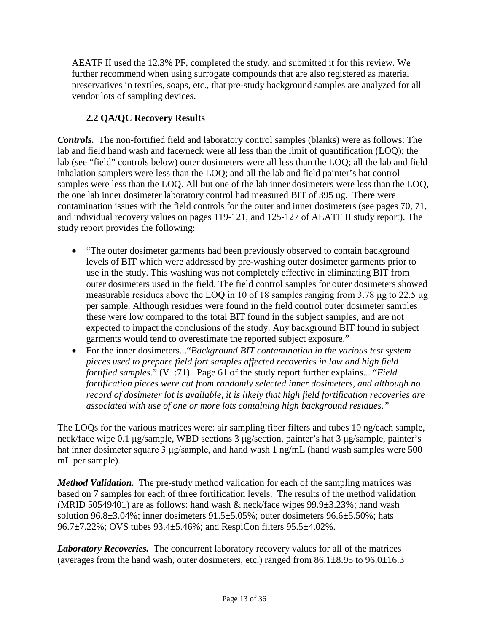AEATF II used the 12.3% PF, completed the study, and submitted it for this review. We further recommend when using surrogate compounds that are also registered as material preservatives in textiles, soaps, etc., that pre-study background samples are analyzed for all vendor lots of sampling devices.

## **2.2 QA/QC Recovery Results**

*Controls.* The non-fortified field and laboratory control samples (blanks) were as follows: The lab and field hand wash and face/neck were all less than the limit of quantification (LOQ); the lab (see "field" controls below) outer dosimeters were all less than the LOQ; all the lab and field inhalation samplers were less than the LOQ; and all the lab and field painter's hat control samples were less than the LOQ. All but one of the lab inner dosimeters were less than the LOQ, the one lab inner dosimeter laboratory control had measured BIT of 395 ug. There were contamination issues with the field controls for the outer and inner dosimeters (see pages 70, 71, and individual recovery values on pages 119-121, and 125-127 of AEATF II study report). The study report provides the following:

- "The outer dosimeter garments had been previously observed to contain background levels of BIT which were addressed by pre-washing outer dosimeter garments prior to use in the study. This washing was not completely effective in eliminating BIT from outer dosimeters used in the field. The field control samples for outer dosimeters showed measurable residues above the LOQ in 10 of 18 samples ranging from 3.78 μg to 22.5 μg per sample. Although residues were found in the field control outer dosimeter samples these were low compared to the total BIT found in the subject samples, and are not expected to impact the conclusions of the study. Any background BIT found in subject garments would tend to overestimate the reported subject exposure."
- For the inner dosimeters..."*Background BIT contamination in the various test system pieces used to prepare field fort samples affected recoveries in low and high field fortified samples.*" (V1:71). Page 61 of the study report further explains... "*Field fortification pieces were cut from randomly selected inner dosimeters, and although no record of dosimeter lot is available, it is likely that high field fortification recoveries are associated with use of one or more lots containing high background residues."*

The LOQs for the various matrices were: air sampling fiber filters and tubes 10 ng/each sample, neck/face wipe 0.1 μg/sample, WBD sections 3 μg/section, painter's hat 3 μg/sample, painter's hat inner dosimeter square 3 μg/sample, and hand wash 1 ng/mL (hand wash samples were 500 mL per sample).

*Method Validation.* The pre-study method validation for each of the sampling matrices was based on 7 samples for each of three fortification levels. The results of the method validation (MRID 50549401) are as follows: hand wash  $\&$  neck/face wipes 99.9 $\pm$ 3.23%; hand wash solution 96.8 $\pm$ 3.04%; inner dosimeters 91.5 $\pm$ 5.05%; outer dosimeters 96.6 $\pm$ 5.50%; hats 96.7±7.22%; OVS tubes 93.4±5.46%; and RespiCon filters 95.5±4.02%.

*Laboratory Recoveries.* The concurrent laboratory recovery values for all of the matrices (averages from the hand wash, outer dosimeters, etc.) ranged from  $86.1\pm8.95$  to  $96.0\pm16.3$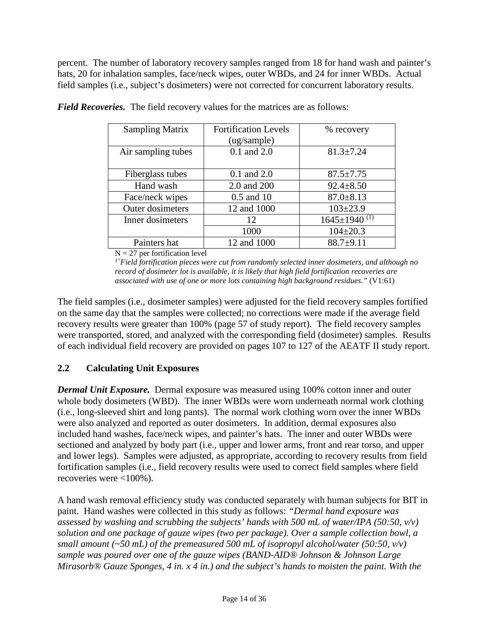percent. The number of laboratory recovery samples ranged from 18 for hand wash and painter's hats, 20 for inhalation samples, face/neck wipes, outer WBDs, and 24 for inner WBDs. Actual field samples (i.e., subject's dosimeters) were not corrected for concurrent laboratory results.

| <b>Sampling Matrix</b> | <b>Fortification Levels</b><br>(ug/sample) | % recovery                     |
|------------------------|--------------------------------------------|--------------------------------|
| Air sampling tubes     | $0.1$ and $2.0$                            | $81.3 \pm 7.24$                |
| Fiberglass tubes       | $0.1$ and $2.0$                            | $87.5 \pm 7.75$                |
| Hand wash              | 2.0 and 200                                | $92.4 \pm 8.50$                |
| Face/neck wipes        | $0.5$ and $10$                             | $87.0 \pm 8.13$                |
| Outer dosimeters       | 12 and 1000                                | $103 \pm 23.9$                 |
| Inner dosimeters       | 12                                         | $1645 \pm 1940$ <sup>(1)</sup> |
|                        | 1000                                       | $104 \pm 20.3$                 |
| Painters hat           | 12 and 1000                                | $88.7+9.11$                    |

*Field Recoveries.* The field recovery values for the matrices are as follows:

 $N = 27$  per fortification level

*1"Field fortification pieces were cut from randomly selected inner dosimeters, and although no record of dosimeter lot is available, it is likely that high field fortification recoveries are associated with use of one or more lots containing high background residues."* (V1:61)

The field samples (i.e., dosimeter samples) were adjusted for the field recovery samples fortified on the same day that the samples were collected; no corrections were made if the average field recovery results were greater than 100% (page 57 of study report). The field recovery samples were transported, stored, and analyzed with the corresponding field (dosimeter) samples. Results of each individual field recovery are provided on pages 107 to 127 of the AEATF II study report.

## **2.2 Calculating Unit Exposures**

*Dermal Unit Exposure.* Dermal exposure was measured using 100% cotton inner and outer whole body dosimeters (WBD). The inner WBDs were worn underneath normal work clothing (i.e., long-sleeved shirt and long pants). The normal work clothing worn over the inner WBDs were also analyzed and reported as outer dosimeters. In addition, dermal exposures also included hand washes, face/neck wipes, and painter's hats. The inner and outer WBDs were sectioned and analyzed by body part (i.e., upper and lower arms, front and rear torso, and upper and lower legs). Samples were adjusted, as appropriate, according to recovery results from field fortification samples (i.e., field recovery results were used to correct field samples where field recoveries were <100%).

A hand wash removal efficiency study was conducted separately with human subjects for BIT in paint. Hand washes were collected in this study as follows: *"Dermal hand exposure was assessed by washing and scrubbing the subjects' hands with 500 mL of water/IPA (50:50, v/v) solution and one package of gauze wipes (two per package). Over a sample collection bowl, a small amount (~50 mL) of the premeasured 500 mL of isopropyl alcohol/water (50:50, v/v) sample was poured over one of the gauze wipes (BAND-AID® Johnson & Johnson Large Mirasorb® Gauze Sponges, 4 in. x 4 in.) and the subject's hands to moisten the paint. With the*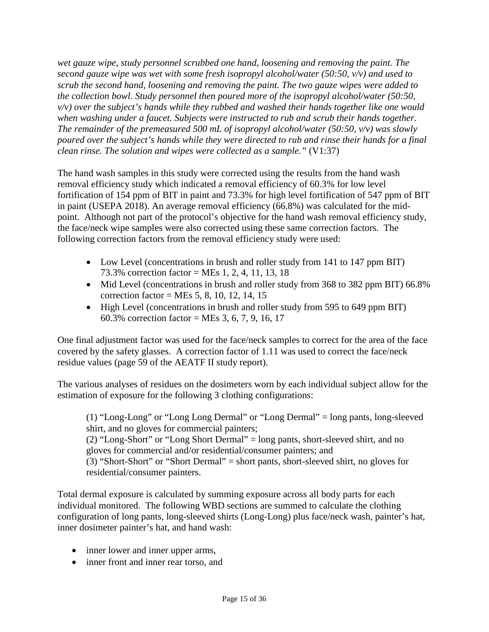*wet gauze wipe, study personnel scrubbed one hand, loosening and removing the paint. The second gauze wipe was wet with some fresh isopropyl alcohol/water (50:50, v/v) and used to scrub the second hand, loosening and removing the paint. The two gauze wipes were added to the collection bowl. Study personnel then poured more of the isopropyl alcohol/water (50:50, v/v) over the subject's hands while they rubbed and washed their hands together like one would when washing under a faucet. Subjects were instructed to rub and scrub their hands together. The remainder of the premeasured 500 mL of isopropyl alcohol/water (50:50, v/v) was slowly poured over the subject's hands while they were directed to rub and rinse their hands for a final clean rinse. The solution and wipes were collected as a sample."* (V1:37)

The hand wash samples in this study were corrected using the results from the hand wash removal efficiency study which indicated a removal efficiency of 60.3% for low level fortification of 154 ppm of BIT in paint and 73.3% for high level fortification of 547 ppm of BIT in paint (USEPA 2018). An average removal efficiency (66.8%) was calculated for the midpoint. Although not part of the protocol's objective for the hand wash removal efficiency study, the face/neck wipe samples were also corrected using these same correction factors. The following correction factors from the removal efficiency study were used:

- Low Level (concentrations in brush and roller study from 141 to 147 ppm BIT) 73.3% correction factor = MEs 1, 2, 4, 11, 13, 18
- Mid Level (concentrations in brush and roller study from 368 to 382 ppm BIT) 66.8% correction factor = MEs  $5, 8, 10, 12, 14, 15$
- High Level (concentrations in brush and roller study from 595 to 649 ppm BIT) 60.3% correction factor = MEs 3, 6, 7, 9, 16, 17

One final adjustment factor was used for the face/neck samples to correct for the area of the face covered by the safety glasses. A correction factor of 1.11 was used to correct the face/neck residue values (page 59 of the AEATF II study report).

The various analyses of residues on the dosimeters worn by each individual subject allow for the estimation of exposure for the following 3 clothing configurations:

(1) "Long-Long" or "Long Long Dermal" or "Long Dermal" = long pants, long-sleeved shirt, and no gloves for commercial painters; (2) "Long-Short" or "Long Short Dermal" = long pants, short-sleeved shirt, and no gloves for commercial and/or residential/consumer painters; and (3) "Short-Short" or "Short Dermal" = short pants, short-sleeved shirt, no gloves for residential/consumer painters.

Total dermal exposure is calculated by summing exposure across all body parts for each individual monitored. The following WBD sections are summed to calculate the clothing configuration of long pants, long-sleeved shirts (Long-Long) plus face/neck wash, painter's hat, inner dosimeter painter's hat, and hand wash:

- inner lower and inner upper arms,
- inner front and inner rear torso, and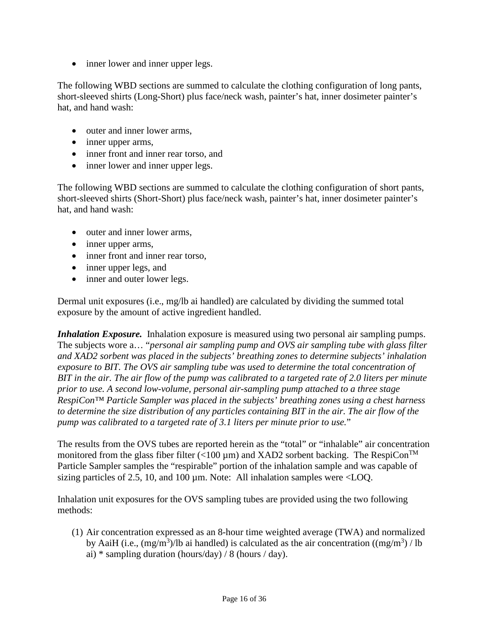• inner lower and inner upper legs.

The following WBD sections are summed to calculate the clothing configuration of long pants, short-sleeved shirts (Long-Short) plus face/neck wash, painter's hat, inner dosimeter painter's hat, and hand wash:

- outer and inner lower arms.
- inner upper arms,
- inner front and inner rear torso, and
- inner lower and inner upper legs.

The following WBD sections are summed to calculate the clothing configuration of short pants, short-sleeved shirts (Short-Short) plus face/neck wash, painter's hat, inner dosimeter painter's hat, and hand wash:

- outer and inner lower arms.
- inner upper arms,
- inner front and inner rear torso.
- inner upper legs, and
- inner and outer lower legs.

Dermal unit exposures (i.e., mg/lb ai handled) are calculated by dividing the summed total exposure by the amount of active ingredient handled.

*Inhalation Exposure.* Inhalation exposure is measured using two personal air sampling pumps. The subjects wore a… "*personal air sampling pump and OVS air sampling tube with glass filter and XAD2 sorbent was placed in the subjects' breathing zones to determine subjects' inhalation exposure to BIT. The OVS air sampling tube was used to determine the total concentration of BIT in the air. The air flow of the pump was calibrated to a targeted rate of 2.0 liters per minute prior to use. A second low-volume, personal air-sampling pump attached to a three stage RespiCon™ Particle Sampler was placed in the subjects' breathing zones using a chest harness to determine the size distribution of any particles containing BIT in the air. The air flow of the pump was calibrated to a targeted rate of 3.1 liters per minute prior to use.*"

The results from the OVS tubes are reported herein as the "total" or "inhalable" air concentration monitored from the glass fiber filter (<100  $\mu$ m) and XAD2 sorbent backing. The RespiCon<sup>TM</sup> Particle Sampler samples the "respirable" portion of the inhalation sample and was capable of sizing particles of 2.5, 10, and 100  $\mu$ m. Note: All inhalation samples were <LOQ.

Inhalation unit exposures for the OVS sampling tubes are provided using the two following methods:

(1) Air concentration expressed as an 8-hour time weighted average (TWA) and normalized by AaiH (i.e.,  $(mg/m^3)/lb$  ai handled) is calculated as the air concentration  $((mg/m^3)/lb$ ai)  $*$  sampling duration (hours/day) / 8 (hours / day).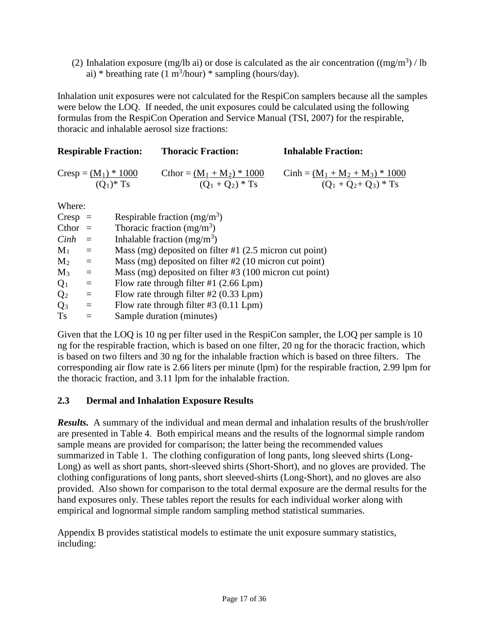(2) Inhalation exposure (mg/lb ai) or dose is calculated as the air concentration ((mg/m<sup>3</sup>) / lb ai) \* breathing rate  $(1 \text{ m}^3/\text{hour})$  \* sampling (hours/day).

Inhalation unit exposures were not calculated for the RespiCon samplers because all the samples were below the LOQ. If needed, the unit exposures could be calculated using the following formulas from the RespiCon Operation and Service Manual (TSI, 2007) for the respirable, thoracic and inhalable aerosol size fractions:

| <b>Respirable Fraction:</b>            | <b>Thoracic Fraction:</b>                          | <b>Inhalable Fraction:</b>                                    |
|----------------------------------------|----------------------------------------------------|---------------------------------------------------------------|
| $Cresp = (M_1) * 1000$<br>$(O_1)^*$ Ts | Cthor = $(M_1 + M_2) * 1000$<br>$(Q_1 + Q_2) * Ts$ | $Cinh = (M_1 + M_2 + M_3) * 1000$<br>$(Q_1 + Q_2 + Q_3) * Ts$ |
|                                        |                                                    |                                                               |

Where:

| $Cresp =$      |          | Respirable fraction $(mg/m3)$                                     |
|----------------|----------|-------------------------------------------------------------------|
| Cthor $=$      |          | Thoracic fraction $(mg/m3)$                                       |
| Cinh           | $=$      | Inhalable fraction $(mg/m^3)$                                     |
| $M_1$          | $=$      | Mass (mg) deposited on filter #1 $(2.5 \text{ micron cut point})$ |
| $M_2$          | $\equiv$ | Mass (mg) deposited on filter $#2$ (10 micron cut point)          |
| $M_3$          | $\equiv$ | Mass (mg) deposited on filter #3 (100 micron cut point)           |
| $Q_1$          | $=$      | Flow rate through filter $#1$ (2.66 Lpm)                          |
| Q <sub>2</sub> | $=$      | Flow rate through filter $#2(0.33 Lpm)$                           |
| $Q_3$          | $=$      | Flow rate through filter $#3$ (0.11 Lpm)                          |
| <b>Ts</b>      | $=$      | Sample duration (minutes)                                         |

Given that the LOQ is 10 ng per filter used in the RespiCon sampler, the LOQ per sample is 10 ng for the respirable fraction, which is based on one filter, 20 ng for the thoracic fraction, which is based on two filters and 30 ng for the inhalable fraction which is based on three filters. The corresponding air flow rate is 2.66 liters per minute (lpm) for the respirable fraction, 2.99 lpm for the thoracic fraction, and 3.11 lpm for the inhalable fraction.

## **2.3 Dermal and Inhalation Exposure Results**

*Results.* A summary of the individual and mean dermal and inhalation results of the brush/roller are presented in Table 4. Both empirical means and the results of the lognormal simple random sample means are provided for comparison; the latter being the recommended values summarized in Table 1. The clothing configuration of long pants, long sleeved shirts (Long-Long) as well as short pants, short-sleeved shirts (Short-Short), and no gloves are provided. The clothing configurations of long pants, short sleeved-shirts (Long-Short), and no gloves are also provided. Also shown for comparison to the total dermal exposure are the dermal results for the hand exposures only. These tables report the results for each individual worker along with empirical and lognormal simple random sampling method statistical summaries.

Appendix B provides statistical models to estimate the unit exposure summary statistics, including: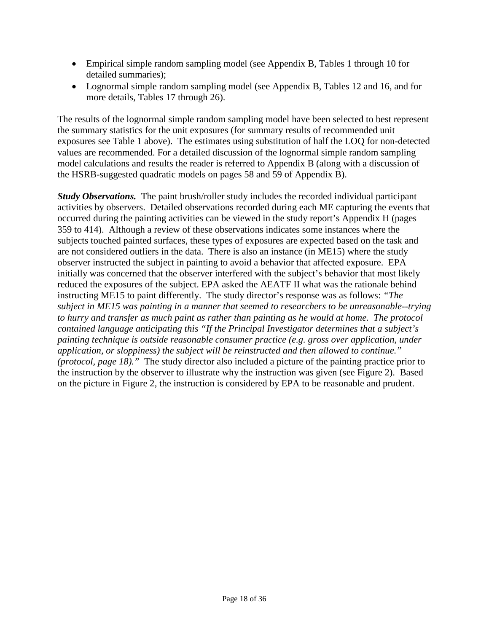- Empirical simple random sampling model (see Appendix B, Tables 1 through 10 for detailed summaries);
- Lognormal simple random sampling model (see Appendix B, Tables 12 and 16, and for more details, Tables 17 through 26).

The results of the lognormal simple random sampling model have been selected to best represent the summary statistics for the unit exposures (for summary results of recommended unit exposures see Table 1 above). The estimates using substitution of half the LOQ for non-detected values are recommended. For a detailed discussion of the lognormal simple random sampling model calculations and results the reader is referred to Appendix B (along with a discussion of the HSRB-suggested quadratic models on pages 58 and 59 of Appendix B).

*Study Observations.* The paint brush/roller study includes the recorded individual participant activities by observers. Detailed observations recorded during each ME capturing the events that occurred during the painting activities can be viewed in the study report's Appendix H (pages 359 to 414). Although a review of these observations indicates some instances where the subjects touched painted surfaces, these types of exposures are expected based on the task and are not considered outliers in the data. There is also an instance (in ME15) where the study observer instructed the subject in painting to avoid a behavior that affected exposure. EPA initially was concerned that the observer interfered with the subject's behavior that most likely reduced the exposures of the subject. EPA asked the AEATF II what was the rationale behind instructing ME15 to paint differently. The study director's response was as follows: *"The subject in ME15 was painting in a manner that seemed to researchers to be unreasonable--trying to hurry and transfer as much paint as rather than painting as he would at home. The protocol contained language anticipating this "If the Principal Investigator determines that a subject's painting technique is outside reasonable consumer practice (e.g. gross over application, under application, or sloppiness) the subject will be reinstructed and then allowed to continue." (protocol, page 18)."* The study director also included a picture of the painting practice prior to the instruction by the observer to illustrate why the instruction was given (see Figure 2). Based on the picture in Figure 2, the instruction is considered by EPA to be reasonable and prudent.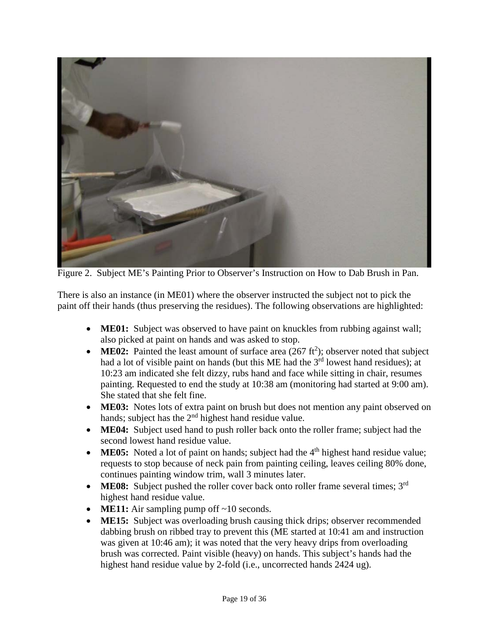

Figure 2. Subject ME's Painting Prior to Observer's Instruction on How to Dab Brush in Pan.

There is also an instance (in ME01) where the observer instructed the subject not to pick the paint off their hands (thus preserving the residues). The following observations are highlighted:

- **ME01:** Subject was observed to have paint on knuckles from rubbing against wall; also picked at paint on hands and was asked to stop.
- **ME02:** Painted the least amount of surface area  $(267 \text{ ft}^2)$ ; observer noted that subject had a lot of visible paint on hands (but this ME had the 3<sup>rd</sup> lowest hand residues); at 10:23 am indicated she felt dizzy, rubs hand and face while sitting in chair, resumes painting. Requested to end the study at 10:38 am (monitoring had started at 9:00 am). She stated that she felt fine.
- **ME03:** Notes lots of extra paint on brush but does not mention any paint observed on hands; subject has the  $2<sup>nd</sup>$  highest hand residue value.
- **ME04:** Subject used hand to push roller back onto the roller frame; subject had the second lowest hand residue value.
- **ME05:** Noted a lot of paint on hands; subject had the 4<sup>th</sup> highest hand residue value; requests to stop because of neck pain from painting ceiling, leaves ceiling 80% done, continues painting window trim, wall 3 minutes later.
- **ME08:** Subject pushed the roller cover back onto roller frame several times; 3<sup>rd</sup> highest hand residue value.
- **ME11:** Air sampling pump of f~10 seconds.
- **ME15:** Subject was overloading brush causing thick drips; observer recommended dabbing brush on ribbed tray to prevent this (ME started at 10:41 am and instruction was given at 10:46 am); it was noted that the very heavy drips from overloading brush was corrected. Paint visible (heavy) on hands. This subject's hands had the highest hand residue value by 2-fold (i.e., uncorrected hands 2424 ug).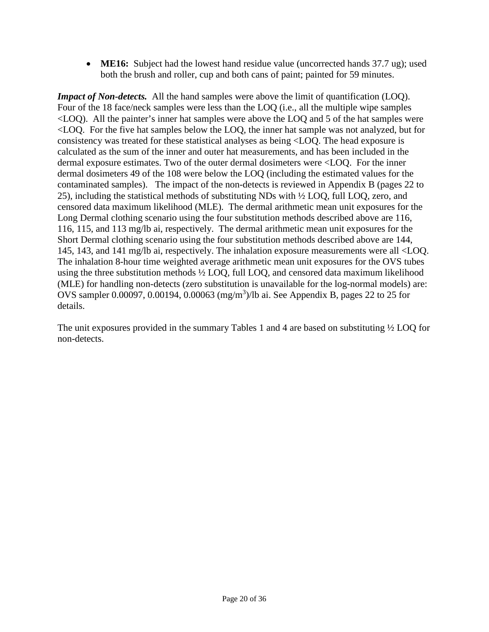• **ME16:** Subject had the lowest hand residue value (uncorrected hands 37.7 ug); used both the brush and roller, cup and both cans of paint; painted for 59 minutes.

*Impact of Non-detects.* All the hand samples were above the limit of quantification (LOQ). Four of the 18 face/neck samples were less than the LOQ (i.e., all the multiple wipe samples <LOQ). All the painter's inner hat samples were above the LOQ and 5 of the hat samples were <LOQ. For the five hat samples below the LOQ, the inner hat sample was not analyzed, but for consistency was treated for these statistical analyses as being <LOQ. The head exposure is calculated as the sum of the inner and outer hat measurements, and has been included in the dermal exposure estimates. Two of the outer dermal dosimeters were <LOQ. For the inner dermal dosimeters 49 of the 108 were below the LOQ (including the estimated values for the contaminated samples). The impact of the non-detects is reviewed in Appendix B (pages 22 to 25), including the statistical methods of substituting NDs with ½ LOQ, full LOQ, zero, and censored data maximum likelihood (MLE). The dermal arithmetic mean unit exposures for the Long Dermal clothing scenario using the four substitution methods described above are 116, 116, 115, and 113 mg/lb ai, respectively. The dermal arithmetic mean unit exposures for the Short Dermal clothing scenario using the four substitution methods described above are 144, 145, 143, and 141 mg/lb ai, respectively. The inhalation exposure measurements were all <LOQ. The inhalation 8-hour time weighted average arithmetic mean unit exposures for the OVS tubes using the three substitution methods ½ LOQ, full LOQ, and censored data maximum likelihood (MLE) for handling non-detects (zero substitution is unavailable for the log-normal models) are: OVS sampler 0.00097, 0.00194, 0.00063 (mg/m<sup>3</sup>)/lb ai. See Appendix B, pages 22 to 25 for details.

The unit exposures provided in the summary Tables 1 and 4 are based on substituting  $\frac{1}{2}$  LOQ for non-detects.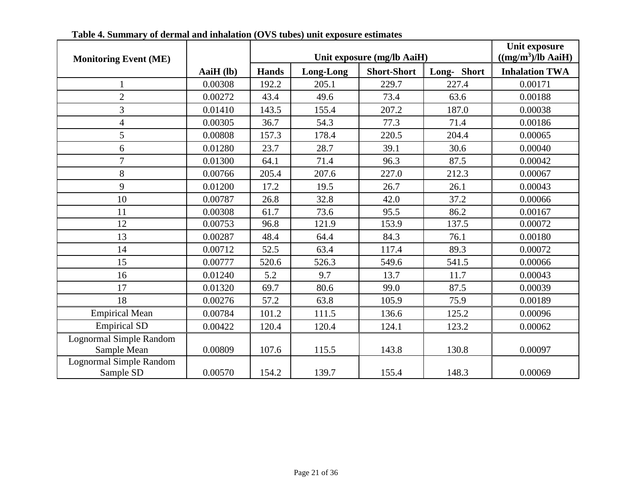|                                |             | Unit exposure (mg/lb AaiH) |           |                    |             | Unit exposure<br>((mg/m <sup>3</sup> )/lb AaiH) |
|--------------------------------|-------------|----------------------------|-----------|--------------------|-------------|-------------------------------------------------|
| <b>Monitoring Event (ME)</b>   | $AaiH$ (lb) | <b>Hands</b>               | Long-Long | <b>Short-Short</b> | Long- Short | <b>Inhalation TWA</b>                           |
|                                | 0.00308     | 192.2                      | 205.1     | 229.7              | 227.4       | 0.00171                                         |
| $\overline{2}$                 | 0.00272     | 43.4                       | 49.6      | 73.4               | 63.6        | 0.00188                                         |
| 3                              | 0.01410     | 143.5                      | 155.4     | 207.2              | 187.0       | 0.00038                                         |
| $\overline{4}$                 | 0.00305     | 36.7                       | 54.3      | 77.3               | 71.4        | 0.00186                                         |
| 5                              | 0.00808     | 157.3                      | 178.4     | 220.5              | 204.4       | 0.00065                                         |
| 6                              | 0.01280     | 23.7                       | 28.7      | 39.1               | 30.6        | 0.00040                                         |
| $\overline{7}$                 | 0.01300     | 64.1                       | 71.4      | 96.3               | 87.5        | 0.00042                                         |
| 8                              | 0.00766     | 205.4                      | 207.6     | 227.0              | 212.3       | 0.00067                                         |
| 9                              | 0.01200     | 17.2                       | 19.5      | 26.7               | 26.1        | 0.00043                                         |
| 10                             | 0.00787     | 26.8                       | 32.8      | 42.0               | 37.2        | 0.00066                                         |
| 11                             | 0.00308     | 61.7                       | 73.6      | 95.5               | 86.2        | 0.00167                                         |
| 12                             | 0.00753     | 96.8                       | 121.9     | 153.9              | 137.5       | 0.00072                                         |
| 13                             | 0.00287     | 48.4                       | 64.4      | 84.3               | 76.1        | 0.00180                                         |
| 14                             | 0.00712     | 52.5                       | 63.4      | 117.4              | 89.3        | 0.00072                                         |
| 15                             | 0.00777     | 520.6                      | 526.3     | 549.6              | 541.5       | 0.00066                                         |
| 16                             | 0.01240     | 5.2                        | 9.7       | 13.7               | 11.7        | 0.00043                                         |
| 17                             | 0.01320     | 69.7                       | 80.6      | 99.0               | 87.5        | 0.00039                                         |
| 18                             | 0.00276     | 57.2                       | 63.8      | 105.9              | 75.9        | 0.00189                                         |
| <b>Empirical Mean</b>          | 0.00784     | 101.2                      | 111.5     | 136.6              | 125.2       | 0.00096                                         |
| <b>Empirical SD</b>            | 0.00422     | 120.4                      | 120.4     | 124.1              | 123.2       | 0.00062                                         |
| Lognormal Simple Random        |             |                            |           |                    |             |                                                 |
| Sample Mean                    | 0.00809     | 107.6                      | 115.5     | 143.8              | 130.8       | 0.00097                                         |
| <b>Lognormal Simple Random</b> |             |                            |           |                    |             |                                                 |
| Sample SD                      | 0.00570     | 154.2                      | 139.7     | 155.4              | 148.3       | 0.00069                                         |

# **Table 4. Summary of dermal and inhalation (OVS tubes) unit exposure estimates**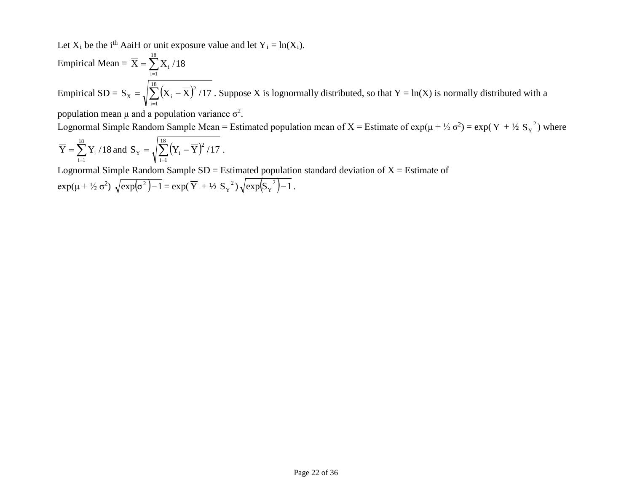Let  $X_i$  be the i<sup>th</sup> AaiH or unit exposure value and let  $Y_i = \ln(X_i)$ .

Empirical Mean = 
$$
\overline{X} = \sum_{i=1}^{18} X_i / 18
$$
  
Empirical SD =  $S_X = \sqrt{\sum_{i=1}^{18} (X_i - \overline{X})^2 / 17}$ . Suppose X is lognormally distributed, so that Y = ln(X) is normally distributed with a

population mean  $\mu$  and a population variance  $\sigma^2$ .

Lognormal Simple Random Sample Mean = Estimated population mean of X = Estimate of  $exp(\mu + \frac{1}{2} \sigma^2) = exp(\overline{Y} + \frac{1}{2} S_Y^2)$  where

$$
\overline{Y} = \sum_{i=1}^{18} Y_i \, / 18 \text{ and } \, S_{_Y} = \sqrt{\sum_{i=1}^{18} \Bigl(Y_i - \overline{Y}\Bigr)^{\! 2} \, / 17} \,\, .
$$

Lognormal Simple Random Sample  $SD = Estimated$  population standard deviation of  $X = Estimate$  of  $\exp(\mu + \frac{1}{2} \sigma^2) \sqrt{\exp(\sigma^2)-1} = \exp(\overline{Y} + \frac{1}{2} S_Y^2) \sqrt{\exp(S_Y^2)-1}$ .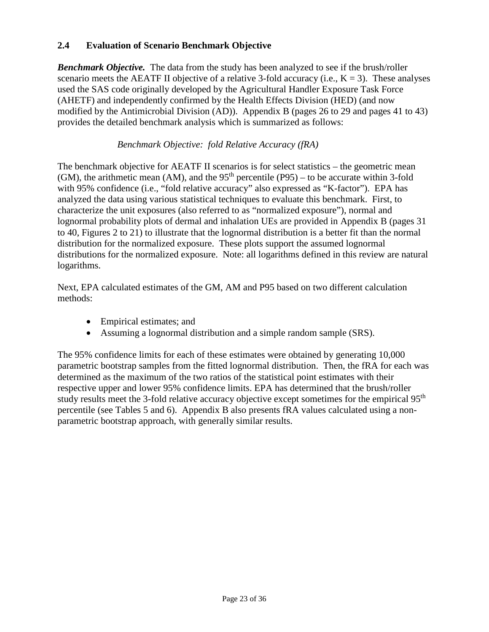### **2.4 Evaluation of Scenario Benchmark Objective**

*Benchmark Objective.* The data from the study has been analyzed to see if the brush/roller scenario meets the AEATF II objective of a relative 3-fold accuracy (i.e.,  $K = 3$ ). These analyses used the SAS code originally developed by the Agricultural Handler Exposure Task Force (AHETF) and independently confirmed by the Health Effects Division (HED) (and now modified by the Antimicrobial Division (AD)). Appendix B (pages 26 to 29 and pages 41 to 43) provides the detailed benchmark analysis which is summarized as follows:

### *Benchmark Objective: fold Relative Accuracy (fRA)*

The benchmark objective for AEATF II scenarios is for select statistics – the geometric mean (GM), the arithmetic mean (AM), and the  $95<sup>th</sup>$  percentile (P95) – to be accurate within 3-fold with 95% confidence (i.e., "fold relative accuracy" also expressed as "K-factor"). EPA has analyzed the data using various statistical techniques to evaluate this benchmark. First, to characterize the unit exposures (also referred to as "normalized exposure"), normal and lognormal probability plots of dermal and inhalation UEs are provided in Appendix B (pages 31 to 40, Figures 2 to 21) to illustrate that the lognormal distribution is a better fit than the normal distribution for the normalized exposure. These plots support the assumed lognormal distributions for the normalized exposure. Note: all logarithms defined in this review are natural logarithms.

Next, EPA calculated estimates of the GM, AM and P95 based on two different calculation methods:

- Empirical estimates; and
- Assuming a lognormal distribution and a simple random sample (SRS).

The 95% confidence limits for each of these estimates were obtained by generating 10,000 parametric bootstrap samples from the fitted lognormal distribution. Then, the fRA for each was determined as the maximum of the two ratios of the statistical point estimates with their respective upper and lower 95% confidence limits. EPA has determined that the brush/roller study results meet the 3-fold relative accuracy objective except sometimes for the empirical 95<sup>th</sup> percentile (see Tables 5 and 6). Appendix B also presents fRA values calculated using a nonparametric bootstrap approach, with generally similar results.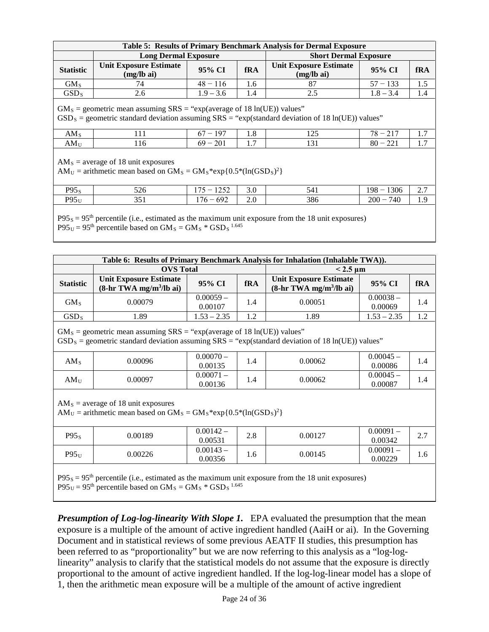| Table 5: Results of Primary Benchmark Analysis for Dermal Exposure                                                 |                                                                                                                                                                                  |              |     |                                                       |              |            |  |
|--------------------------------------------------------------------------------------------------------------------|----------------------------------------------------------------------------------------------------------------------------------------------------------------------------------|--------------|-----|-------------------------------------------------------|--------------|------------|--|
|                                                                                                                    | <b>Long Dermal Exposure</b>                                                                                                                                                      |              |     | <b>Short Dermal Exposure</b>                          |              |            |  |
| <b>Statistic</b>                                                                                                   | <b>Unit Exposure Estimate</b><br>$(mg/lb \text{ ai})$                                                                                                                            | 95% CI       | fRA | <b>Unit Exposure Estimate</b><br>$(mg/lb \text{ ai})$ | 95% CI       | <b>fRA</b> |  |
| GM <sub>s</sub>                                                                                                    | 74                                                                                                                                                                               | $48 - 116$   | 1.6 | 87                                                    | $57 - 133$   | 1.5        |  |
| GSD <sub>S</sub>                                                                                                   | 2.6                                                                                                                                                                              | $1.9 - 3.6$  | 1.4 | 2.5                                                   | $1.8 - 3.4$  | 1.4        |  |
|                                                                                                                    | $GM_s$ = geometric mean assuming SRS = "exp(average of 18 ln(UE)) values"<br>$GSD_S =$ geometric standard deviation assuming SRS = "exp(standard deviation of 18 ln(UE)) values" |              |     |                                                       |              |            |  |
| AM <sub>s</sub>                                                                                                    | 111                                                                                                                                                                              | $67 - 197$   | 1.8 | 125                                                   | $78 - 217$   | 1.7        |  |
| $AM_{\rm II}$                                                                                                      | 116                                                                                                                                                                              | $69 - 201$   | 1.7 | 131                                                   | $80 - 221$   | 1.7        |  |
| $AMS$ = average of 18 unit exposures<br>$AM_U =$ arithmetic mean based on $GM_S = GM_S * exp{0.5 * (ln(GSD_S)^2)}$ |                                                                                                                                                                                  |              |     |                                                       |              |            |  |
| P95s                                                                                                               | 526                                                                                                                                                                              | $175 - 1252$ | 3.0 | 541                                                   | $198 - 1306$ | 2.7        |  |
| P95 <sub>U</sub>                                                                                                   | 351                                                                                                                                                                              | $176 - 692$  | 2.0 | 386                                                   | $200 - 740$  | 1.9        |  |

 $P95<sub>S</sub> = 95<sup>th</sup>$  percentile (i.e., estimated as the maximum unit exposure from the 18 unit exposures)  $P95<sub>U</sub> = 95<sup>th</sup>$  percentile based on GM<sub>S</sub> = GM<sub>S</sub> \* GSD<sub>S</sub><sup>1.645</sup>

| Table 6: Results of Primary Benchmark Analysis for Inhalation (Inhalable TWA)). |                                                                           |                       |     |                                                                         |                        |            |  |
|---------------------------------------------------------------------------------|---------------------------------------------------------------------------|-----------------------|-----|-------------------------------------------------------------------------|------------------------|------------|--|
|                                                                                 | <b>OVS</b> Total                                                          |                       |     | $< 2.5 \text{ nm}$                                                      |                        |            |  |
| <b>Statistic</b>                                                                | Unit Exposure Estimate<br>$(8-hr)$ TWA mg/m <sup>3</sup> /lb ai)          | 95% CI                | fRA | <b>Unit Exposure Estimate</b><br>$(8-hr)$ TWA mg/m <sup>3</sup> /lb ai) | 95% CI                 | <b>fRA</b> |  |
| GM <sub>s</sub>                                                                 | 0.00079                                                                   | $0.00059-$<br>0.00107 | 1.4 | 0.00051                                                                 | $0.00038 -$<br>0.00069 | 1.4        |  |
| GSD <sub>s</sub>                                                                | 1.89                                                                      | $1.53 - 2.35$         | 1.2 | 1.89                                                                    | $1.53 - 2.35$          | 1.2        |  |
|                                                                                 | $GM_s$ = geometric mean assuming SRS = "exp(average of 18 ln(UE)) values" |                       |     |                                                                         |                        |            |  |

 $GSD<sub>S</sub>$  = geometric standard deviation assuming  $SRS = "exp(standard deviation of 18 ln(UE))$  values"

|                   | 0.00096 | $0.00070 -$ | $\Lambda$ | 0.00062 | $0.00045 -$ |     |
|-------------------|---------|-------------|-----------|---------|-------------|-----|
| AM <sub>S</sub>   |         | 0.00135     |           |         | 0.00086     | 1.4 |
|                   | 0.00097 | $0.00071 -$ |           | 0.00062 | $0.00045 -$ |     |
| $AM_{\mathrm{U}}$ |         | 0.00136     |           |         | 0.00087     |     |
|                   |         |             |           |         |             |     |

 $AM<sub>S</sub>$  = average of 18 unit exposures

AM<sub>U</sub> = arithmetic mean based on  $GM_s = GM_s * exp{0.5 * (ln(GSD_s)^2)}$ 

| P95 <sub>s</sub> | 0.00189 | $0.00142 -$<br>0.00531 | 2.8 | 0.00127 | 0.00091<br>$\sim$<br>0.00342 | $\sim$ $\sim$<br><u>، ،</u> |
|------------------|---------|------------------------|-----|---------|------------------------------|-----------------------------|
| $P95_U$          | 0.00226 | $0.00143 -$<br>0.00356 | 1.0 | 0.00145 | $0.00091 -$<br>0.00229       | 1.6                         |

 $P95<sub>S</sub> = 95<sup>th</sup>$  percentile (i.e., estimated as the maximum unit exposure from the 18 unit exposures)  $P95<sub>U</sub> = 95<sup>th</sup>$  percentile based on  $GM<sub>S</sub> = GM<sub>S</sub> * GSD<sub>S</sub>$ <sup>1.645</sup>

**Presumption of Log-log-linearity With Slope 1.** EPA evaluated the presumption that the mean exposure is a multiple of the amount of active ingredient handled (AaiH or ai). In the Governing Document and in statistical reviews of some previous AEATF II studies, this presumption has been referred to as "proportionality" but we are now referring to this analysis as a "log-loglinearity" analysis to clarify that the statistical models do not assume that the exposure is directly proportional to the amount of active ingredient handled. If the log-log-linear model has a slope of 1, then the arithmetic mean exposure will be a multiple of the amount of active ingredient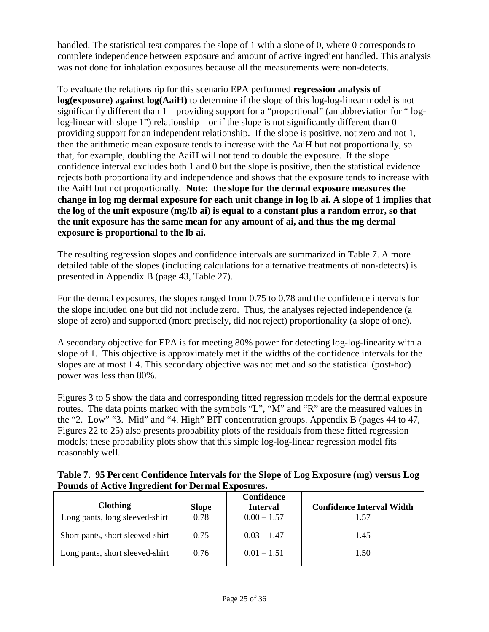handled. The statistical test compares the slope of 1 with a slope of 0, where 0 corresponds to complete independence between exposure and amount of active ingredient handled. This analysis was not done for inhalation exposures because all the measurements were non-detects.

To evaluate the relationship for this scenario EPA performed **regression analysis of log(exposure) against log(AaiH)** to determine if the slope of this log-log-linear model is not significantly different than 1 – providing support for a "proportional" (an abbreviation for " loglog-linear with slope 1") relationship – or if the slope is not significantly different than  $0$ providing support for an independent relationship. If the slope is positive, not zero and not 1, then the arithmetic mean exposure tends to increase with the AaiH but not proportionally, so that, for example, doubling the AaiH will not tend to double the exposure. If the slope confidence interval excludes both 1 and 0 but the slope is positive, then the statistical evidence rejects both proportionality and independence and shows that the exposure tends to increase with the AaiH but not proportionally. **Note: the slope for the dermal exposure measures the change in log mg dermal exposure for each unit change in log lb ai. A slope of 1 implies that the log of the unit exposure (mg/lb ai) is equal to a constant plus a random error, so that the unit exposure has the same mean for any amount of ai, and thus the mg dermal exposure is proportional to the lb ai.**

The resulting regression slopes and confidence intervals are summarized in Table 7. A more detailed table of the slopes (including calculations for alternative treatments of non-detects) is presented in Appendix B (page 43, Table 27).

For the dermal exposures, the slopes ranged from 0.75 to 0.78 and the confidence intervals for the slope included one but did not include zero. Thus, the analyses rejected independence (a slope of zero) and supported (more precisely, did not reject) proportionality (a slope of one).

A secondary objective for EPA is for meeting 80% power for detecting log-log-linearity with a slope of 1. This objective is approximately met if the widths of the confidence intervals for the slopes are at most 1.4. This secondary objective was not met and so the statistical (post-hoc) power was less than 80%.

Figures 3 to 5 show the data and corresponding fitted regression models for the dermal exposure routes. The data points marked with the symbols "L", "M" and "R" are the measured values in the "2. Low" "3. Mid" and "4. High" BIT concentration groups. Appendix B (pages 44 to 47, Figures 22 to 25) also presents probability plots of the residuals from these fitted regression models; these probability plots show that this simple log-log-linear regression model fits reasonably well.

|                                                          | Table 7. 95 Percent Confidence Intervals for the Slope of Log Exposure (mg) versus Log |
|----------------------------------------------------------|----------------------------------------------------------------------------------------|
| <b>Pounds of Active Ingredient for Dermal Exposures.</b> |                                                                                        |

|                                  |              | Confidence      |                                  |
|----------------------------------|--------------|-----------------|----------------------------------|
| <b>Clothing</b>                  | <b>Slope</b> | <b>Interval</b> | <b>Confidence Interval Width</b> |
| Long pants, long sleeved-shirt   | 0.78         | $0.00 - 1.57$   | 1.57                             |
| Short pants, short sleeved-shirt | 0.75         | $0.03 - 1.47$   | 1.45                             |
| Long pants, short sleeved-shirt  | 0.76         | $0.01 - 1.51$   | 1.50                             |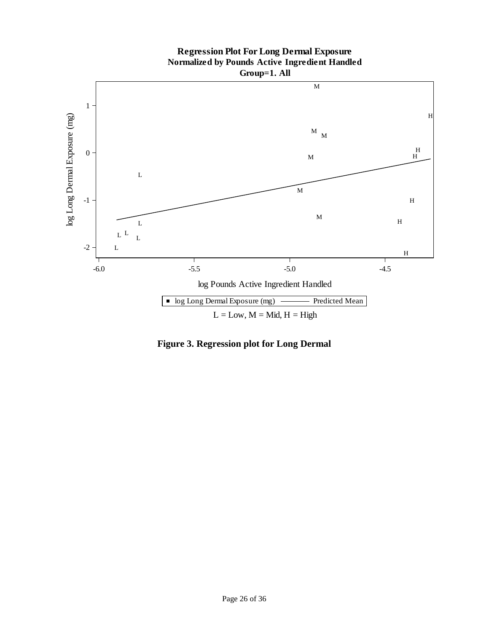

**Regression Plot For Long Dermal Exposure Normalized by Pounds Active Ingredient Handled**

**Figure 3. Regression plot for Long Dermal**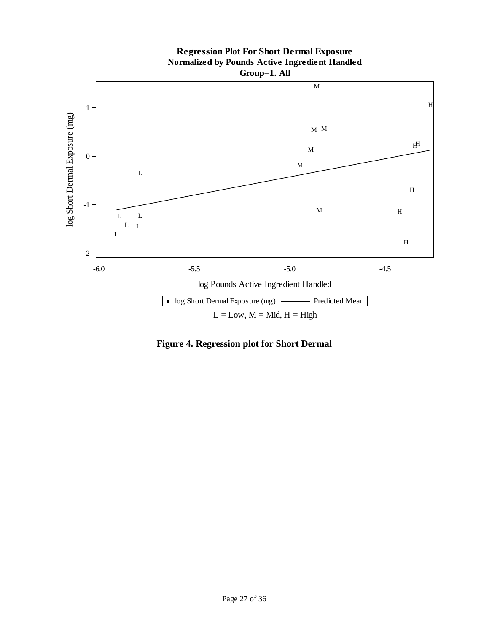

# **Regression Plot For Short Dermal Exposure Normalized by Pounds Active Ingredient Handled**

**Figure 4. Regression plot for Short Dermal**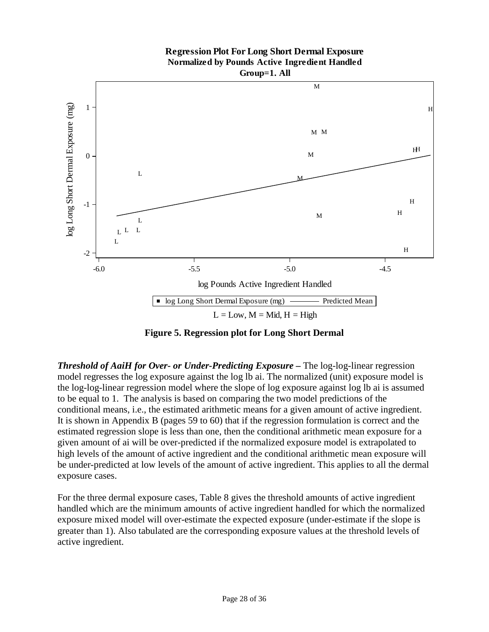# **Regression Plot For Long Short Dermal Exposure Normalized by Pounds Active Ingredient Handled**



**Figure 5. Regression plot for Long Short Dermal**

*Threshold of AaiH for Over- or Under-Predicting Exposure –* The log-log-linear regression model regresses the log exposure against the log lb ai. The normalized (unit) exposure model is the log-log-linear regression model where the slope of log exposure against log lb ai is assumed to be equal to 1. The analysis is based on comparing the two model predictions of the conditional means, i.e., the estimated arithmetic means for a given amount of active ingredient. It is shown in Appendix B (pages 59 to 60) that if the regression formulation is correct and the estimated regression slope is less than one, then the conditional arithmetic mean exposure for a given amount of ai will be over-predicted if the normalized exposure model is extrapolated to high levels of the amount of active ingredient and the conditional arithmetic mean exposure will be under-predicted at low levels of the amount of active ingredient. This applies to all the dermal exposure cases.

For the three dermal exposure cases, Table 8 gives the threshold amounts of active ingredient handled which are the minimum amounts of active ingredient handled for which the normalized exposure mixed model will over-estimate the expected exposure (under-estimate if the slope is greater than 1). Also tabulated are the corresponding exposure values at the threshold levels of active ingredient.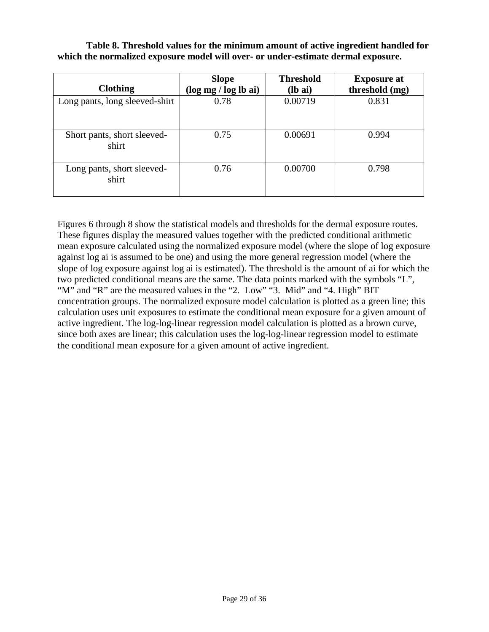| <b>Clothing</b>                      | <b>Slope</b><br>(log mg / log lb ai) | <b>Threshold</b><br>$(lb ai)$ | <b>Exposure at</b><br>threshold (mg) |
|--------------------------------------|--------------------------------------|-------------------------------|--------------------------------------|
| Long pants, long sleeved-shirt       | 0.78                                 | 0.00719                       | 0.831                                |
| Short pants, short sleeved-<br>shirt | 0.75                                 | 0.00691                       | 0.994                                |
| Long pants, short sleeved-<br>shirt  | 0.76                                 | 0.00700                       | 0.798                                |

**Table 8. Threshold values for the minimum amount of active ingredient handled for which the normalized exposure model will over- or under-estimate dermal exposure.**

Figures 6 through 8 show the statistical models and thresholds for the dermal exposure routes. These figures display the measured values together with the predicted conditional arithmetic mean exposure calculated using the normalized exposure model (where the slope of log exposure against log ai is assumed to be one) and using the more general regression model (where the slope of log exposure against log ai is estimated). The threshold is the amount of ai for which the two predicted conditional means are the same. The data points marked with the symbols "L", "M" and "R" are the measured values in the "2. Low" "3. Mid" and "4. High" BIT concentration groups. The normalized exposure model calculation is plotted as a green line; this calculation uses unit exposures to estimate the conditional mean exposure for a given amount of active ingredient. The log-log-linear regression model calculation is plotted as a brown curve, since both axes are linear; this calculation uses the log-log-linear regression model to estimate the conditional mean exposure for a given amount of active ingredient.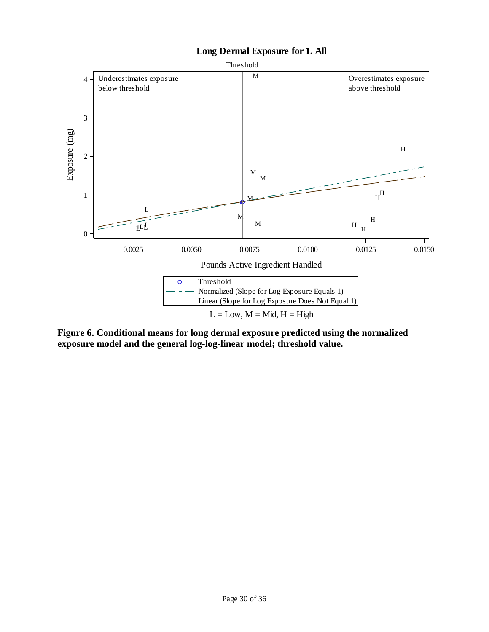



**Figure 6. Conditional means for long dermal exposure predicted using the normalized exposure model and the general log-log-linear model; threshold value.**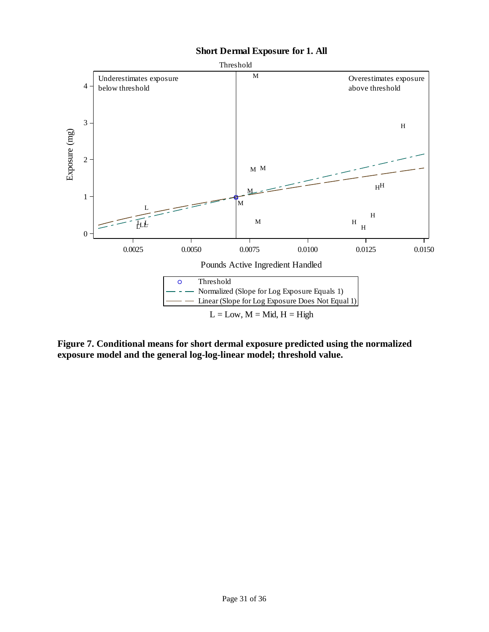



**Figure 7. Conditional means for short dermal exposure predicted using the normalized exposure model and the general log-log-linear model; threshold value.**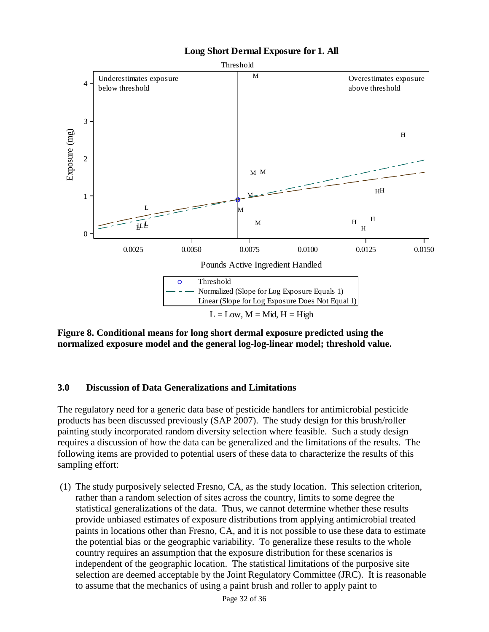



#### **Figure 8. Conditional means for long short dermal exposure predicted using the normalized exposure model and the general log-log-linear model; threshold value.**

#### **3.0 Discussion of Data Generalizations and Limitations**

The regulatory need for a generic data base of pesticide handlers for antimicrobial pesticide products has been discussed previously (SAP 2007). The study design for this brush/roller painting study incorporated random diversity selection where feasible. Such a study design requires a discussion of how the data can be generalized and the limitations of the results. The following items are provided to potential users of these data to characterize the results of this sampling effort:

(1) The study purposively selected Fresno, CA, as the study location. This selection criterion, rather than a random selection of sites across the country, limits to some degree the statistical generalizations of the data. Thus, we cannot determine whether these results provide unbiased estimates of exposure distributions from applying antimicrobial treated paints in locations other than Fresno, CA, and it is not possible to use these data to estimate the potential bias or the geographic variability. To generalize these results to the whole country requires an assumption that the exposure distribution for these scenarios is independent of the geographic location. The statistical limitations of the purposive site selection are deemed acceptable by the Joint Regulatory Committee (JRC). It is reasonable to assume that the mechanics of using a paint brush and roller to apply paint to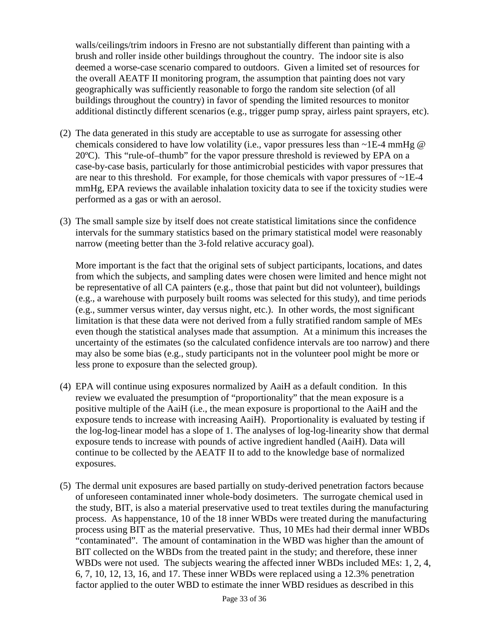walls/ceilings/trim indoors in Fresno are not substantially different than painting with a brush and roller inside other buildings throughout the country. The indoor site is also deemed a worse-case scenario compared to outdoors. Given a limited set of resources for the overall AEATF II monitoring program, the assumption that painting does not vary geographically was sufficiently reasonable to forgo the random site selection (of all buildings throughout the country) in favor of spending the limited resources to monitor additional distinctly different scenarios (e.g., trigger pump spray, airless paint sprayers, etc).

- (2) The data generated in this study are acceptable to use as surrogate for assessing other chemicals considered to have low volatility (i.e., vapor pressures less than ~1E-4 mmHg @ 20ºC). This "rule-of–thumb" for the vapor pressure threshold is reviewed by EPA on a case-by-case basis, particularly for those antimicrobial pesticides with vapor pressures that are near to this threshold. For example, for those chemicals with vapor pressures of  $\sim$ 1E-4 mmHg, EPA reviews the available inhalation toxicity data to see if the toxicity studies were performed as a gas or with an aerosol.
- (3) The small sample size by itself does not create statistical limitations since the confidence intervals for the summary statistics based on the primary statistical model were reasonably narrow (meeting better than the 3-fold relative accuracy goal).

More important is the fact that the original sets of subject participants, locations, and dates from which the subjects, and sampling dates were chosen were limited and hence might not be representative of all CA painters (e.g., those that paint but did not volunteer), buildings (e.g., a warehouse with purposely built rooms was selected for this study), and time periods (e.g., summer versus winter, day versus night, etc.). In other words, the most significant limitation is that these data were not derived from a fully stratified random sample of MEs even though the statistical analyses made that assumption. At a minimum this increases the uncertainty of the estimates (so the calculated confidence intervals are too narrow) and there may also be some bias (e.g., study participants not in the volunteer pool might be more or less prone to exposure than the selected group).

- (4) EPA will continue using exposures normalized by AaiH as a default condition. In this review we evaluated the presumption of "proportionality" that the mean exposure is a positive multiple of the AaiH (i.e., the mean exposure is proportional to the AaiH and the exposure tends to increase with increasing AaiH). Proportionality is evaluated by testing if the log-log-linear model has a slope of 1. The analyses of log-log-linearity show that dermal exposure tends to increase with pounds of active ingredient handled (AaiH). Data will continue to be collected by the AEATF II to add to the knowledge base of normalized exposures.
- (5) The dermal unit exposures are based partially on study-derived penetration factors because of unforeseen contaminated inner whole-body dosimeters. The surrogate chemical used in the study, BIT, is also a material preservative used to treat textiles during the manufacturing process. As happenstance, 10 of the 18 inner WBDs were treated during the manufacturing process using BIT as the material preservative. Thus, 10 MEs had their dermal inner WBDs "contaminated". The amount of contamination in the WBD was higher than the amount of BIT collected on the WBDs from the treated paint in the study; and therefore, these inner WBDs were not used. The subjects wearing the affected inner WBDs included MEs: 1, 2, 4, 6, 7, 10, 12, 13, 16, and 17. These inner WBDs were replaced using a 12.3% penetration factor applied to the outer WBD to estimate the inner WBD residues as described in this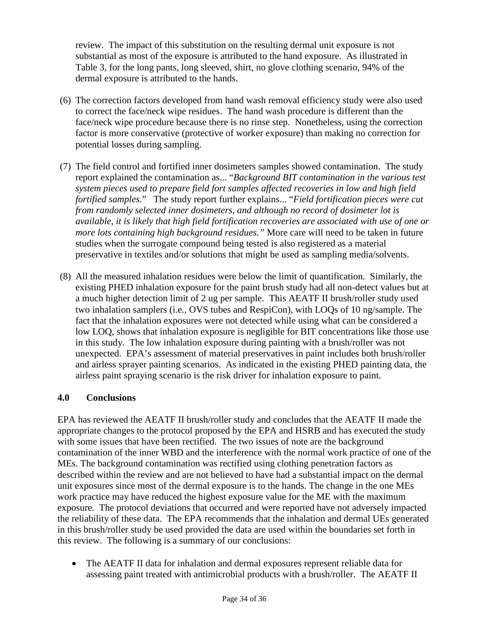review. The impact of this substitution on the resulting dermal unit exposure is not substantial as most of the exposure is attributed to the hand exposure. As illustrated in Table 3, for the long pants, long sleeved, shirt, no glove clothing scenario, 94% of the dermal exposure is attributed to the hands.

- (6) The correction factors developed from hand wash removal efficiency study were also used to correct the face/neck wipe residues. The hand wash procedure is different than the face/neck wipe procedure because there is no rinse step. Nonetheless, using the correction factor is more conservative (protective of worker exposure) than making no correction for potential losses during sampling.
- (7) The field control and fortified inner dosimeters samples showed contamination. The study report explained the contamination as... "*Background BIT contamination in the various test system pieces used to prepare field fort samples affected recoveries in low and high field fortified samples.*" The study report further explains... "*Field fortification pieces were cut from randomly selected inner dosimeters, and although no record of dosimeter lot is available, it is likely that high field fortification recoveries are associated with use of one or more lots containing high background residues."* More care will need to be taken in future studies when the surrogate compound being tested is also registered as a material preservative in textiles and/or solutions that might be used as sampling media/solvents.
- (8) All the measured inhalation residues were below the limit of quantification. Similarly, the existing PHED inhalation exposure for the paint brush study had all non-detect values but at a much higher detection limit of 2 ug per sample. This AEATF II brush/roller study used two inhalation samplers (i.e., OVS tubes and RespiCon), with LOQs of 10 ng/sample. The fact that the inhalation exposures were not detected while using what can be considered a low LOQ, shows that inhalation exposure is negligible for BIT concentrations like those use in this study. The low inhalation exposure during painting with a brush/roller was not unexpected. EPA's assessment of material preservatives in paint includes both brush/roller and airless sprayer painting scenarios. As indicated in the existing PHED painting data, the airless paint spraying scenario is the risk driver for inhalation exposure to paint.

#### **4.0 Conclusions**

EPA has reviewed the AEATF II brush/roller study and concludes that the AEATF II made the appropriate changes to the protocol proposed by the EPA and HSRB and has executed the study with some issues that have been rectified. The two issues of note are the background contamination of the inner WBD and the interference with the normal work practice of one of the MEs. The background contamination was rectified using clothing penetration factors as described within the review and are not believed to have had a substantial impact on the dermal unit exposures since most of the dermal exposure is to the hands. The change in the one MEs work practice may have reduced the highest exposure value for the ME with the maximum exposure. The protocol deviations that occurred and were reported have not adversely impacted the reliability of these data. The EPA recommends that the inhalation and dermal UEs generated in this brush/roller study be used provided the data are used within the boundaries set forth in this review. The following is a summary of our conclusions:

• The AEATF II data for inhalation and dermal exposures represent reliable data for assessing paint treated with antimicrobial products with a brush/roller. The AEATF II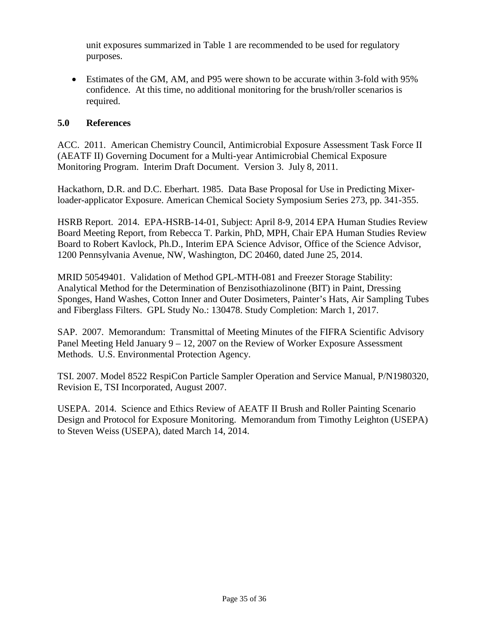unit exposures summarized in Table 1 are recommended to be used for regulatory purposes.

• Estimates of the GM, AM, and P95 were shown to be accurate within 3-fold with 95% confidence. At this time, no additional monitoring for the brush/roller scenarios is required.

#### **5.0 References**

ACC. 2011. American Chemistry Council, Antimicrobial Exposure Assessment Task Force II (AEATF II) Governing Document for a Multi-year Antimicrobial Chemical Exposure Monitoring Program. Interim Draft Document. Version 3. July 8, 2011.

Hackathorn, D.R. and D.C. Eberhart. 1985. Data Base Proposal for Use in Predicting Mixerloader-applicator Exposure. American Chemical Society Symposium Series 273, pp. 341-355.

HSRB Report. 2014. EPA-HSRB-14-01, Subject: April 8-9, 2014 EPA Human Studies Review Board Meeting Report, from Rebecca T. Parkin, PhD, MPH, Chair EPA Human Studies Review Board to Robert Kavlock, Ph.D., Interim EPA Science Advisor, Office of the Science Advisor, 1200 Pennsylvania Avenue, NW, Washington, DC 20460, dated June 25, 2014.

MRID 50549401. Validation of Method GPL-MTH-081 and Freezer Storage Stability: Analytical Method for the Determination of Benzisothiazolinone (BIT) in Paint, Dressing Sponges, Hand Washes, Cotton Inner and Outer Dosimeters, Painter's Hats, Air Sampling Tubes and Fiberglass Filters. GPL Study No.: 130478. Study Completion: March 1, 2017.

SAP. 2007. Memorandum: Transmittal of Meeting Minutes of the FIFRA Scientific Advisory Panel Meeting Held January 9 – 12, 2007 on the Review of Worker Exposure Assessment Methods. U.S. Environmental Protection Agency.

TSI. 2007. Model 8522 RespiCon Particle Sampler Operation and Service Manual, P/N1980320, Revision E, TSI Incorporated, August 2007.

USEPA. 2014. Science and Ethics Review of AEATF II Brush and Roller Painting Scenario Design and Protocol for Exposure Monitoring. Memorandum from Timothy Leighton (USEPA) to Steven Weiss (USEPA), dated March 14, 2014.